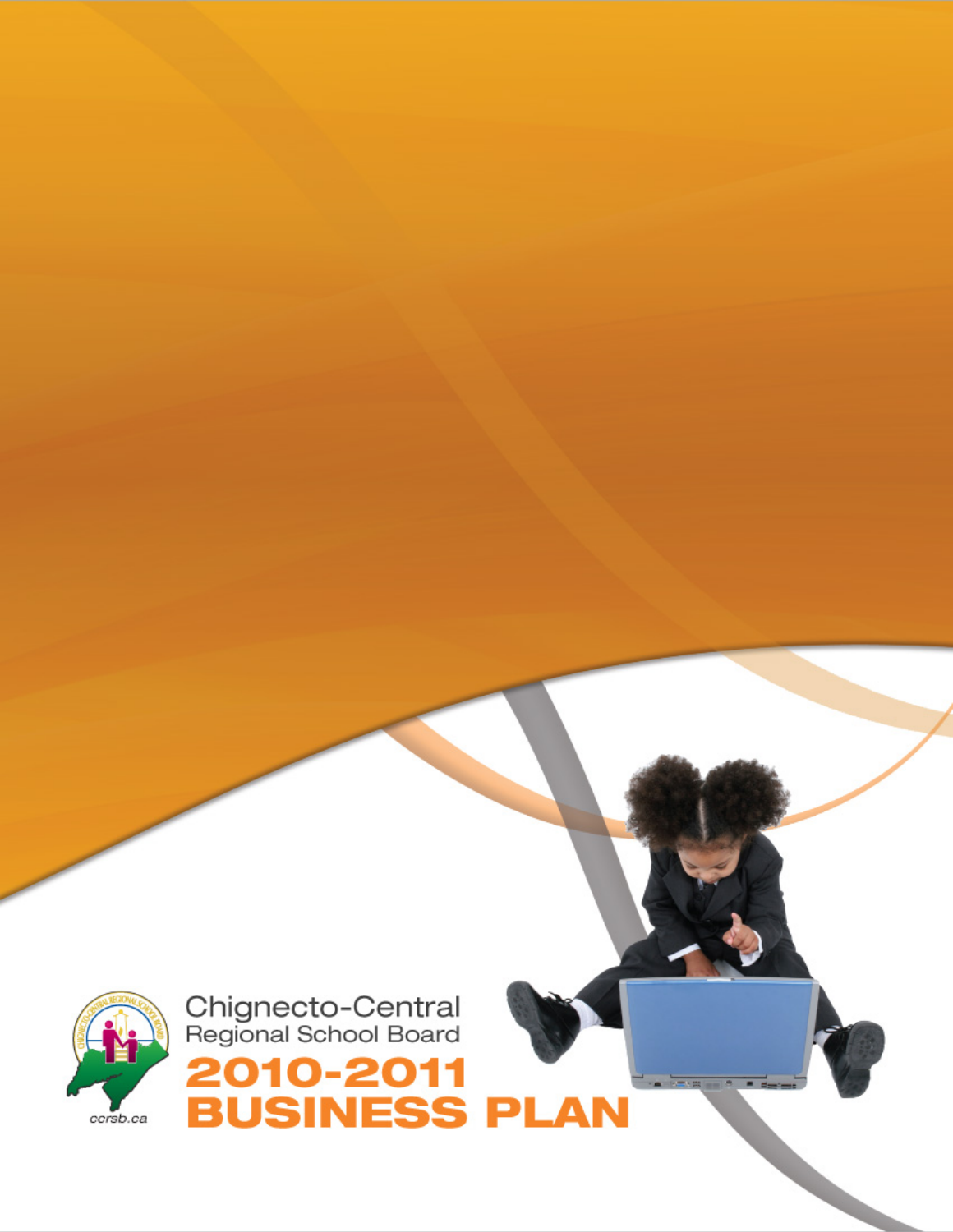

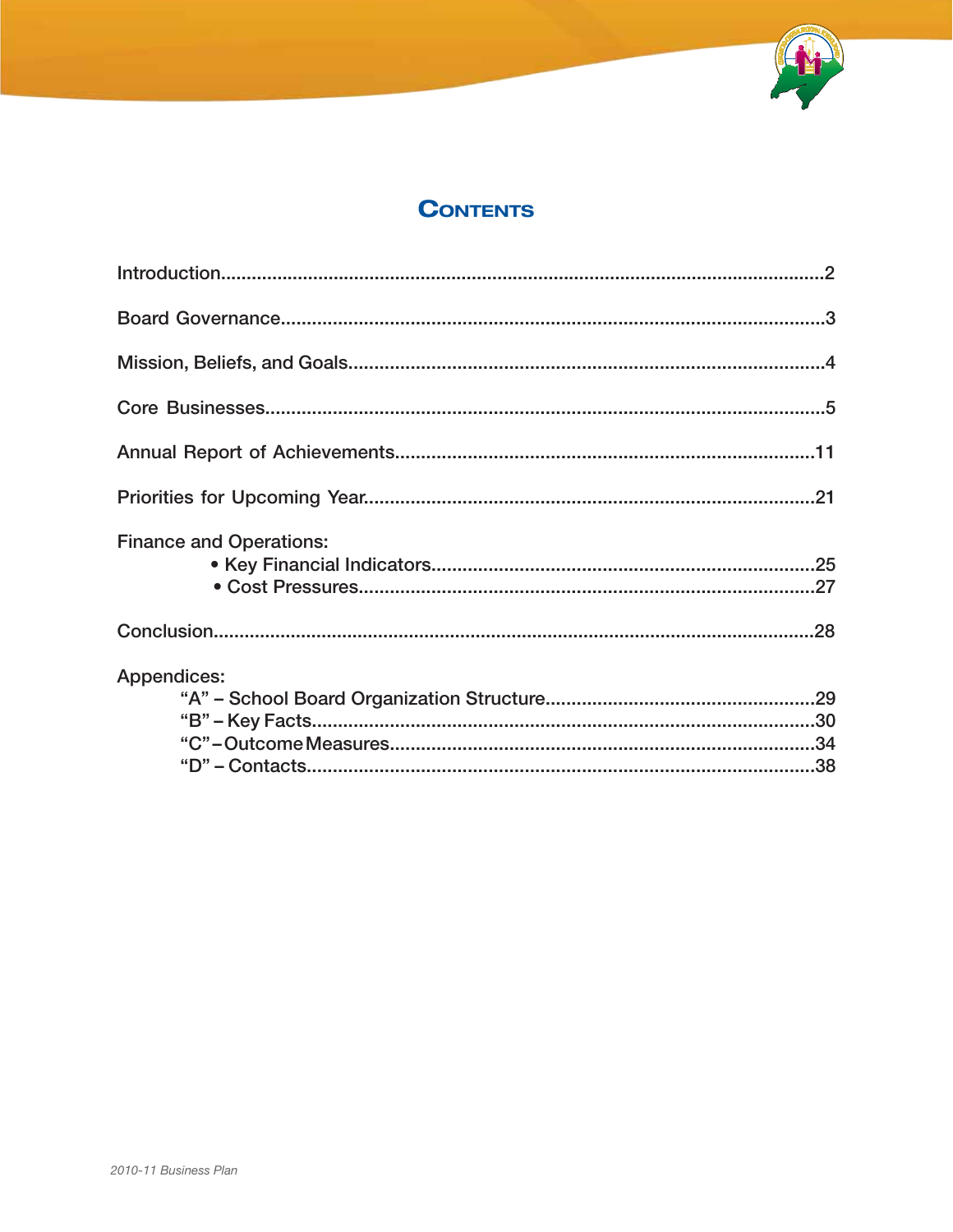

### **CONTENTS**

| <b>Finance and Operations:</b> |  |
|--------------------------------|--|
|                                |  |
| Appendices:                    |  |
|                                |  |
|                                |  |
|                                |  |
|                                |  |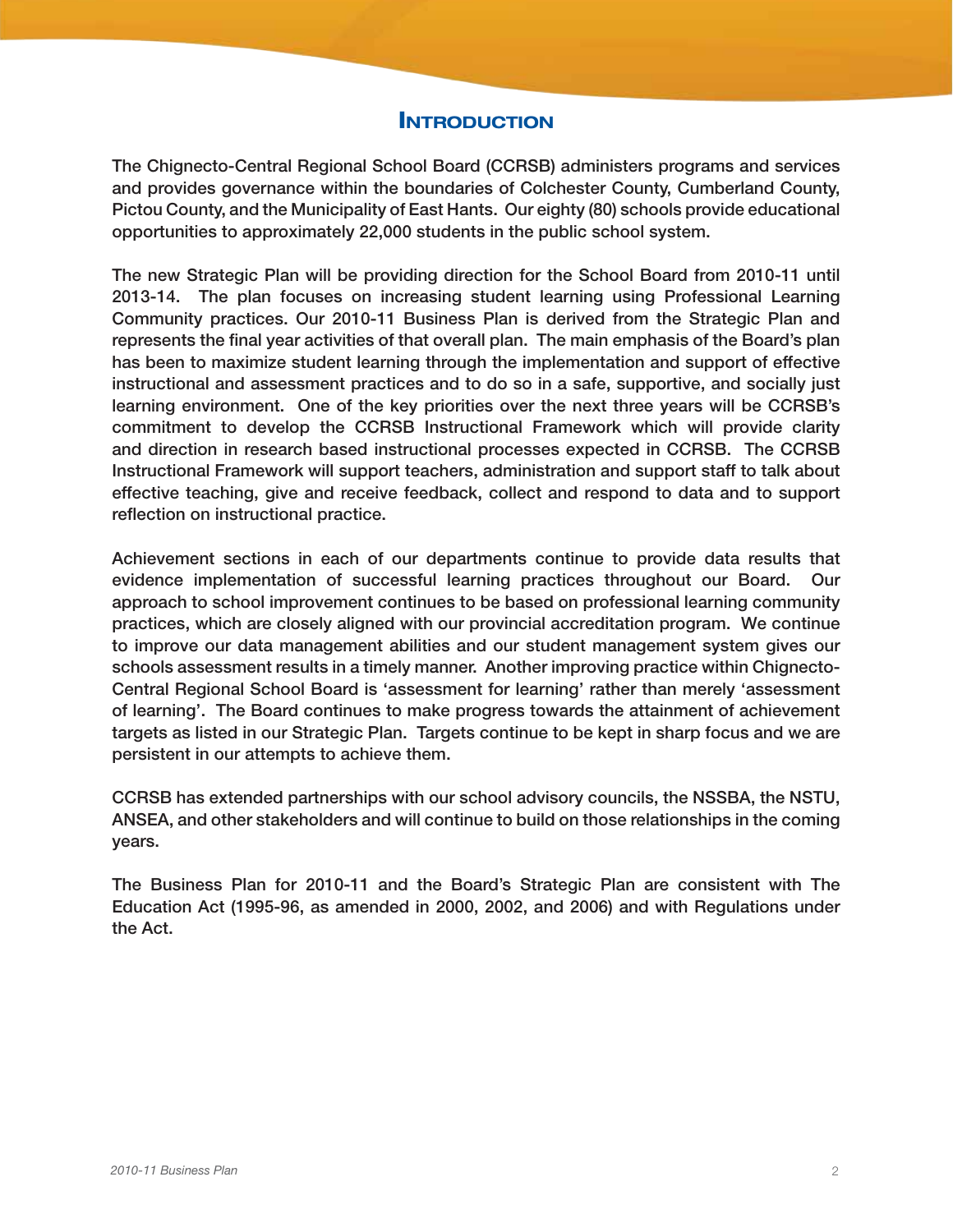### **INTRODUCTION**

The Chignecto-Central Regional School Board (CCRSB) administers programs and services and provides governance within the boundaries of Colchester County, Cumberland County, Pictou County, and the Municipality of East Hants. Our eighty (80) schools provide educational opportunities to approximately 22,000 students in the public school system.

The new Strategic Plan will be providing direction for the School Board from 2010-11 until 2013-14. The plan focuses on increasing student learning using Professional Learning Community practices. Our 2010-11 Business Plan is derived from the Strategic Plan and represents the final year activities of that overall plan. The main emphasis of the Board's plan has been to maximize student learning through the implementation and support of effective instructional and assessment practices and to do so in a safe, supportive, and socially just learning environment. One of the key priorities over the next three years will be CCRSB's commitment to develop the CCRSB Instructional Framework which will provide clarity and direction in research based instructional processes expected in CCRSB. The CCRSB Instructional Framework will support teachers, administration and support staff to talk about effective teaching, give and receive feedback, collect and respond to data and to support reflection on instructional practice.

Achievement sections in each of our departments continue to provide data results that evidence implementation of successful learning practices throughout our Board. Our approach to school improvement continues to be based on professional learning community practices, which are closely aligned with our provincial accreditation program. We continue to improve our data management abilities and our student management system gives our schools assessment results in a timely manner. Another improving practice within Chignecto-Central Regional School Board is 'assessment for learning' rather than merely 'assessment of learning'. The Board continues to make progress towards the attainment of achievement targets as listed in our Strategic Plan. Targets continue to be kept in sharp focus and we are persistent in our attempts to achieve them.

CCRSB has extended partnerships with our school advisory councils, the NSSBA, the NSTU, ANSEA, and other stakeholders and will continue to build on those relationships in the coming years.

The Business Plan for 2010-11 and the Board's Strategic Plan are consistent with The Education Act (1995-96, as amended in 2000, 2002, and 2006) and with Regulations under the Act.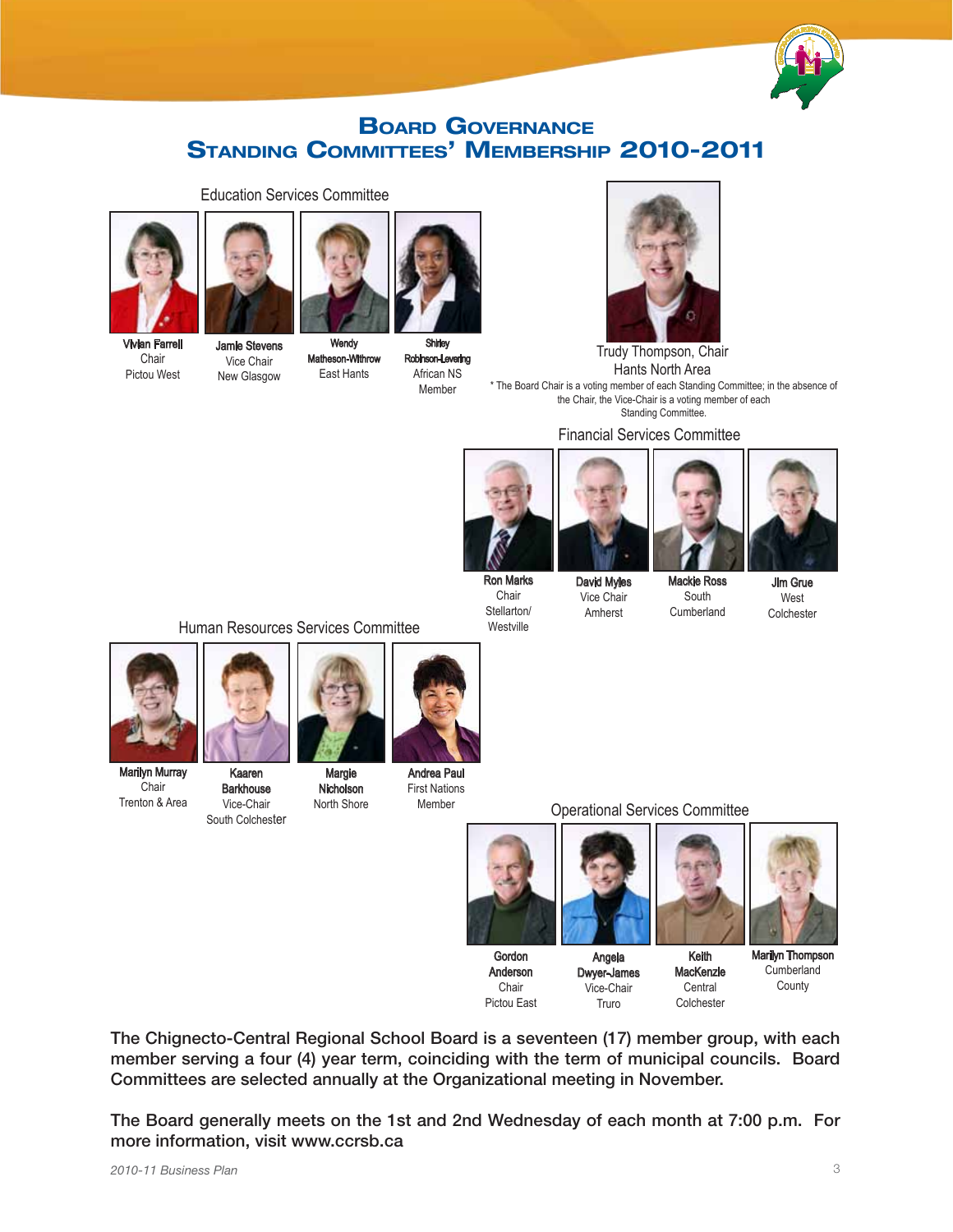

### **BOARD GOVERNANCE** Standing Committees' Membership 2010-2011



Chair Pictou West



Education Services Committee

Vice Chair New Glasgow



Shirley Robinson-Levering African NS

**Wendy** Matheson-Withrow East Hants

Member



Trudy Thompson, Chair Hants North Area

\* The Board Chair is a voting member of each Standing Committee; in the absence of the Chair, the Vice-Chair is a voting member of each Standing Committee.

Financial Services Committee



Chair Stellarton/ Westville



David Myles Vice Chair Amherst



Mackie Ross South **Cumberland** 

Jim Grue West

Colchester

Human Resources Services Committee



Marilyn Murray **Chair** Trenton & Area

Kaaren **Barkhouse** Margie Nicholson

North Shore

Vice-Chair South Colchester



Andrea Paul First Nations Member

Operational Services Committee



Gordon

Chair



Angela



Anderson Pictou East Dwyer-James Vice-Chair Truro

**MacKenzie** Colchester

**Central** 

Marilyn Thompson **Cumberland County** 

The Chignecto-Central Regional School Board is a seventeen (17) member group, with each member serving a four (4) year term, coinciding with the term of municipal councils. Board Committees are selected annually at the Organizational meeting in November.

The Board generally meets on the 1st and 2nd Wednesday of each month at 7:00 p.m. For more information, visit www.ccrsb.ca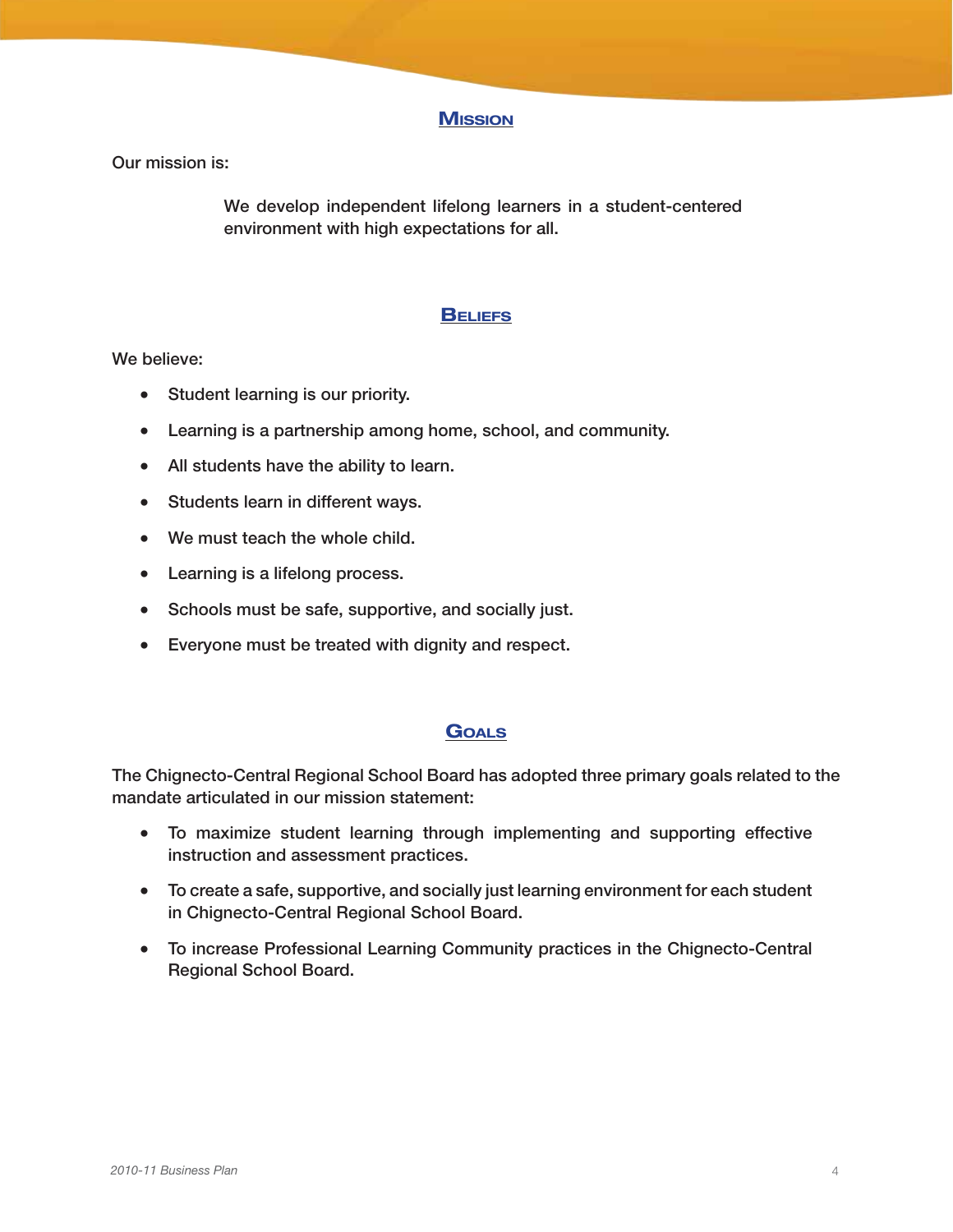### **Mission**

Our mission is:

We develop independent lifelong learners in a student-centered environment with high expectations for all.

### **BELIEFS**

#### We believe:

- Student learning is our priority.
- Learning is a partnership among home, school, and community.
- All students have the ability to learn.
- Students learn in different ways.
- We must teach the whole child.
- Learning is a lifelong process.
- Schools must be safe, supportive, and socially just.
- • Everyone must be treated with dignity and respect.

### **GOALS**

The Chignecto-Central Regional School Board has adopted three primary goals related to the mandate articulated in our mission statement:

- • To maximize student learning through implementing and supporting effective instruction and assessment practices.
- To create a safe, supportive, and socially just learning environment for each student in Chignecto-Central Regional School Board.
- To increase Professional Learning Community practices in the Chignecto-Central Regional School Board.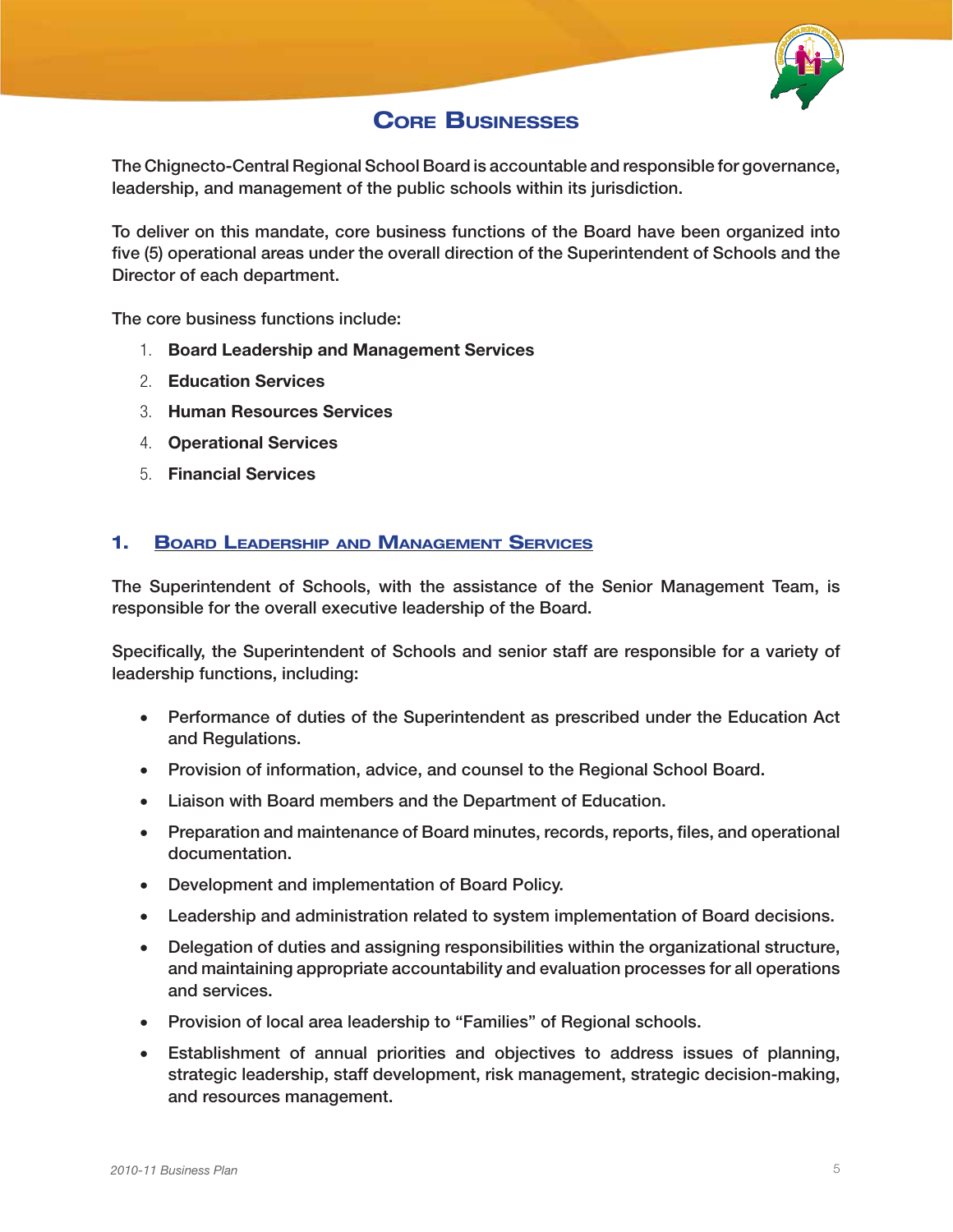

### **CORE BUSINESSES**

The Chignecto-Central Regional School Board is accountable and responsible for governance, leadership, and management of the public schools within its jurisdiction.

To deliver on this mandate, core business functions of the Board have been organized into five (5) operational areas under the overall direction of the Superintendent of Schools and the Director of each department.

The core business functions include:

- 1. Board Leadership and Management Services
- 2. Education Services
- 3. Human Resources Services
- 4. Operational Services
- 5. Financial Services

### 1. Board Leadership and Management Services

The Superintendent of Schools, with the assistance of the Senior Management Team, is responsible for the overall executive leadership of the Board.

Specifically, the Superintendent of Schools and senior staff are responsible for a variety of leadership functions, including:

- Performance of duties of the Superintendent as prescribed under the Education Act and Regulations.
- Provision of information, advice, and counsel to the Regional School Board.
- Liaison with Board members and the Department of Education.
- Preparation and maintenance of Board minutes, records, reports, files, and operational documentation.
- • Development and implementation of Board Policy.
- • Leadership and administration related to system implementation of Board decisions.
- Delegation of duties and assigning responsibilities within the organizational structure, and maintaining appropriate accountability and evaluation processes for all operations and services.
- Provision of local area leadership to "Families" of Regional schools.
- • Establishment of annual priorities and objectives to address issues of planning, strategic leadership, staff development, risk management, strategic decision-making, and resources management.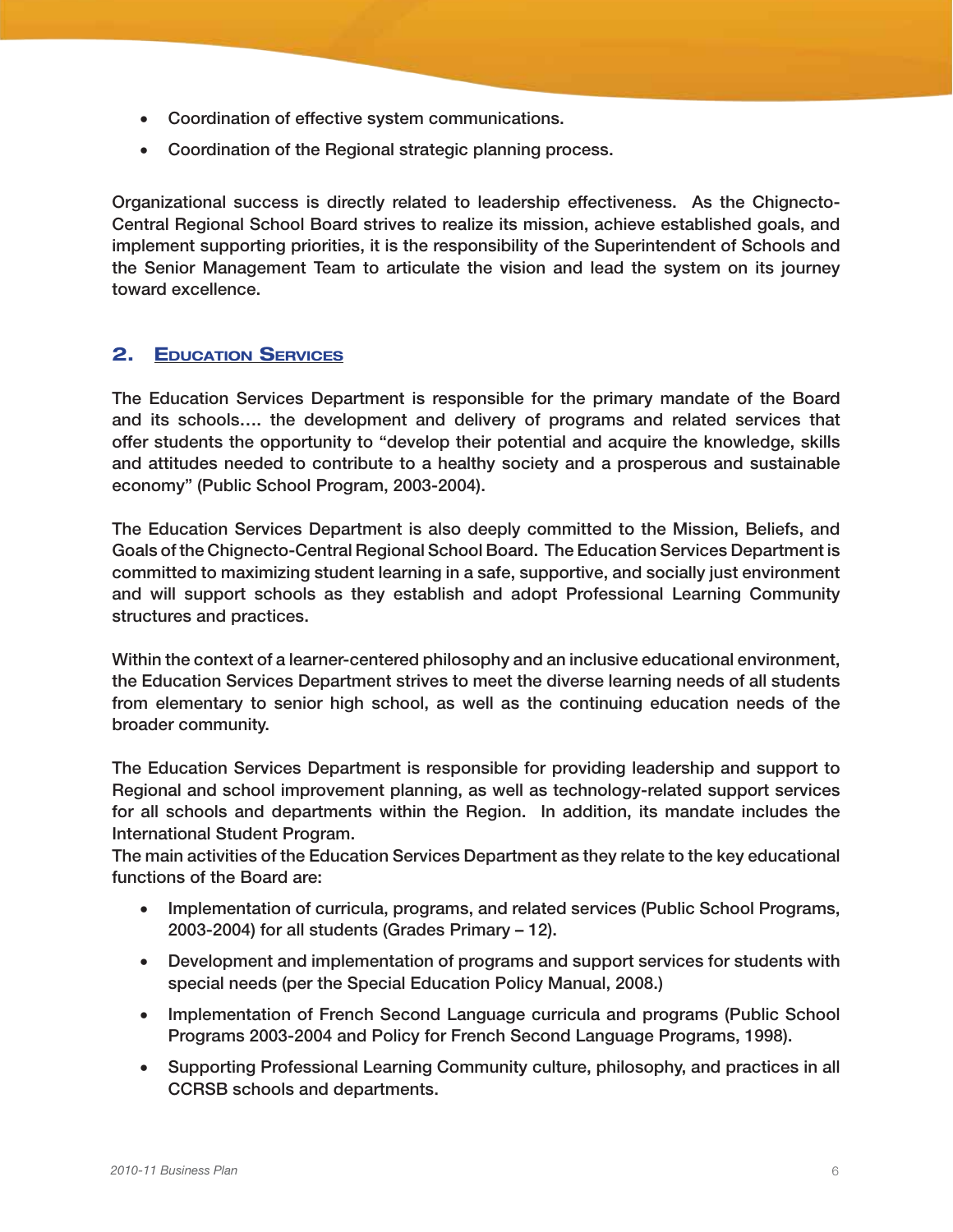- • Coordination of effective system communications.
- Coordination of the Regional strategic planning process.

Organizational success is directly related to leadership effectiveness. As the Chignecto-Central Regional School Board strives to realize its mission, achieve established goals, and implement supporting priorities, it is the responsibility of the Superintendent of Schools and the Senior Management Team to articulate the vision and lead the system on its journey toward excellence.

### 2. Education Services

The Education Services Department is responsible for the primary mandate of the Board and its schools…. the development and delivery of programs and related services that offer students the opportunity to "develop their potential and acquire the knowledge, skills and attitudes needed to contribute to a healthy society and a prosperous and sustainable economy" (Public School Program, 2003-2004).

The Education Services Department is also deeply committed to the Mission, Beliefs, and Goals of the Chignecto-Central Regional School Board. The Education Services Department is committed to maximizing student learning in a safe, supportive, and socially just environment and will support schools as they establish and adopt Professional Learning Community structures and practices.

Within the context of a learner-centered philosophy and an inclusive educational environment, the Education Services Department strives to meet the diverse learning needs of all students from elementary to senior high school, as well as the continuing education needs of the broader community.

The Education Services Department is responsible for providing leadership and support to Regional and school improvement planning, as well as technology-related support services for all schools and departments within the Region. In addition, its mandate includes the International Student Program.

The main activities of the Education Services Department as they relate to the key educational functions of the Board are:

- Implementation of curricula, programs, and related services (Public School Programs, 2003-2004) for all students (Grades Primary – 12).
- • Development and implementation of programs and support services for students with special needs (per the Special Education Policy Manual, 2008.)
- Implementation of French Second Language curricula and programs (Public School Programs 2003-2004 and Policy for French Second Language Programs, 1998).
- Supporting Professional Learning Community culture, philosophy, and practices in all CCRSB schools and departments.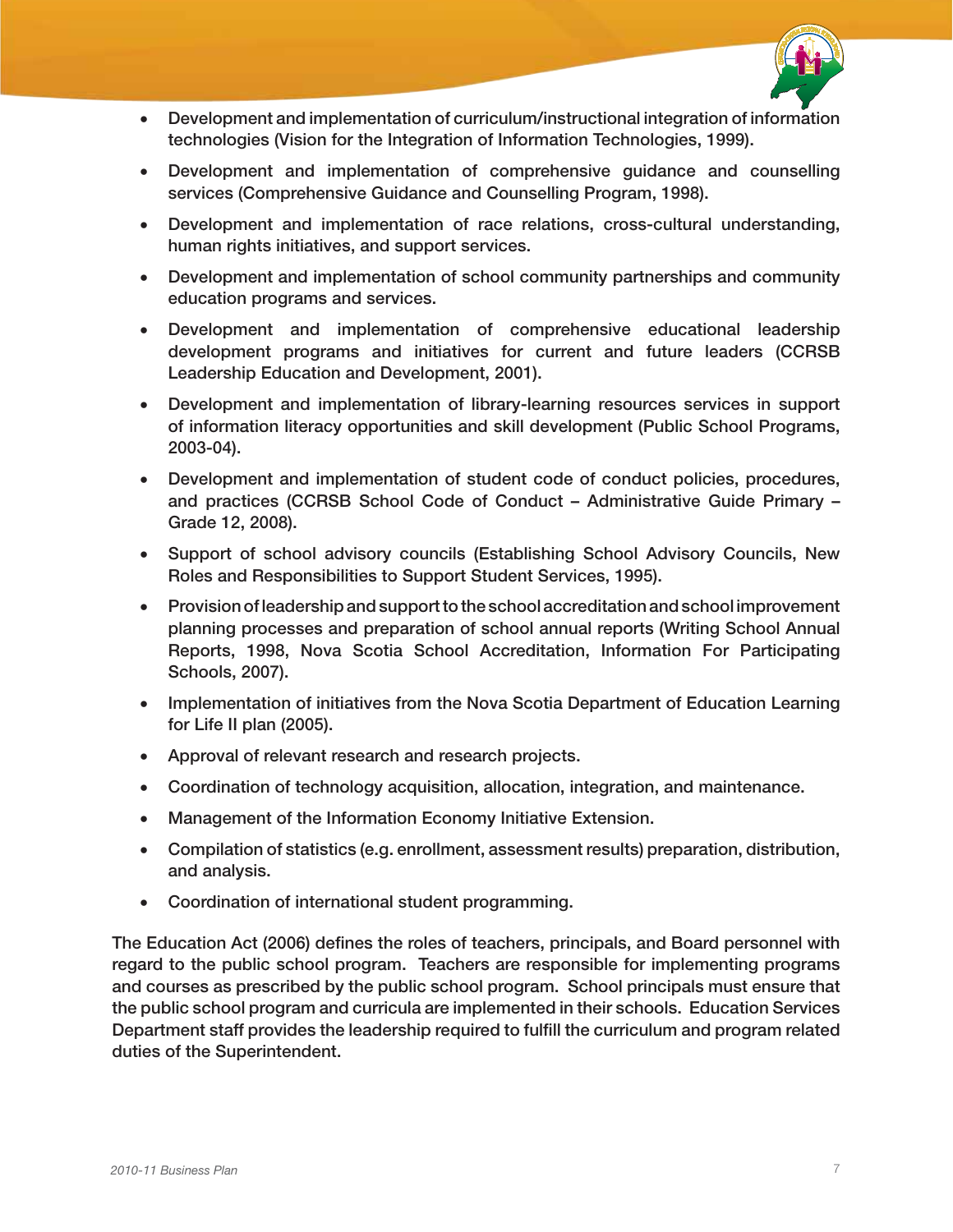

- • Development and implementation of curriculum/instructional integration of information technologies (Vision for the Integration of Information Technologies, 1999).
- • Development and implementation of comprehensive guidance and counselling services (Comprehensive Guidance and Counselling Program, 1998).
- • Development and implementation of race relations, cross-cultural understanding, human rights initiatives, and support services.
- • Development and implementation of school community partnerships and community education programs and services.
- • Development and implementation of comprehensive educational leadership development programs and initiatives for current and future leaders (CCRSB Leadership Education and Development, 2001).
- • Development and implementation of library-learning resources services in support of information literacy opportunities and skill development (Public School Programs, 2003-04).
- • Development and implementation of student code of conduct policies, procedures, and practices (CCRSB School Code of Conduct – Administrative Guide Primary – Grade 12, 2008).
- • Support of school advisory councils (Establishing School Advisory Councils, New Roles and Responsibilities to Support Student Services, 1995).
- • Provision of leadership and support to the school accreditation and school improvement planning processes and preparation of school annual reports (Writing School Annual Reports, 1998, Nova Scotia School Accreditation, Information For Participating Schools, 2007).
- Implementation of initiatives from the Nova Scotia Department of Education Learning for Life II plan (2005).
- • Approval of relevant research and research projects.
- • Coordination of technology acquisition, allocation, integration, and maintenance.
- Management of the Information Economy Initiative Extension.
- • Compilation of statistics (e.g. enrollment, assessment results) preparation, distribution, and analysis.
- • Coordination of international student programming.

The Education Act (2006) defines the roles of teachers, principals, and Board personnel with regard to the public school program. Teachers are responsible for implementing programs and courses as prescribed by the public school program. School principals must ensure that the public school program and curricula are implemented in their schools. Education Services Department staff provides the leadership required to fulfill the curriculum and program related duties of the Superintendent.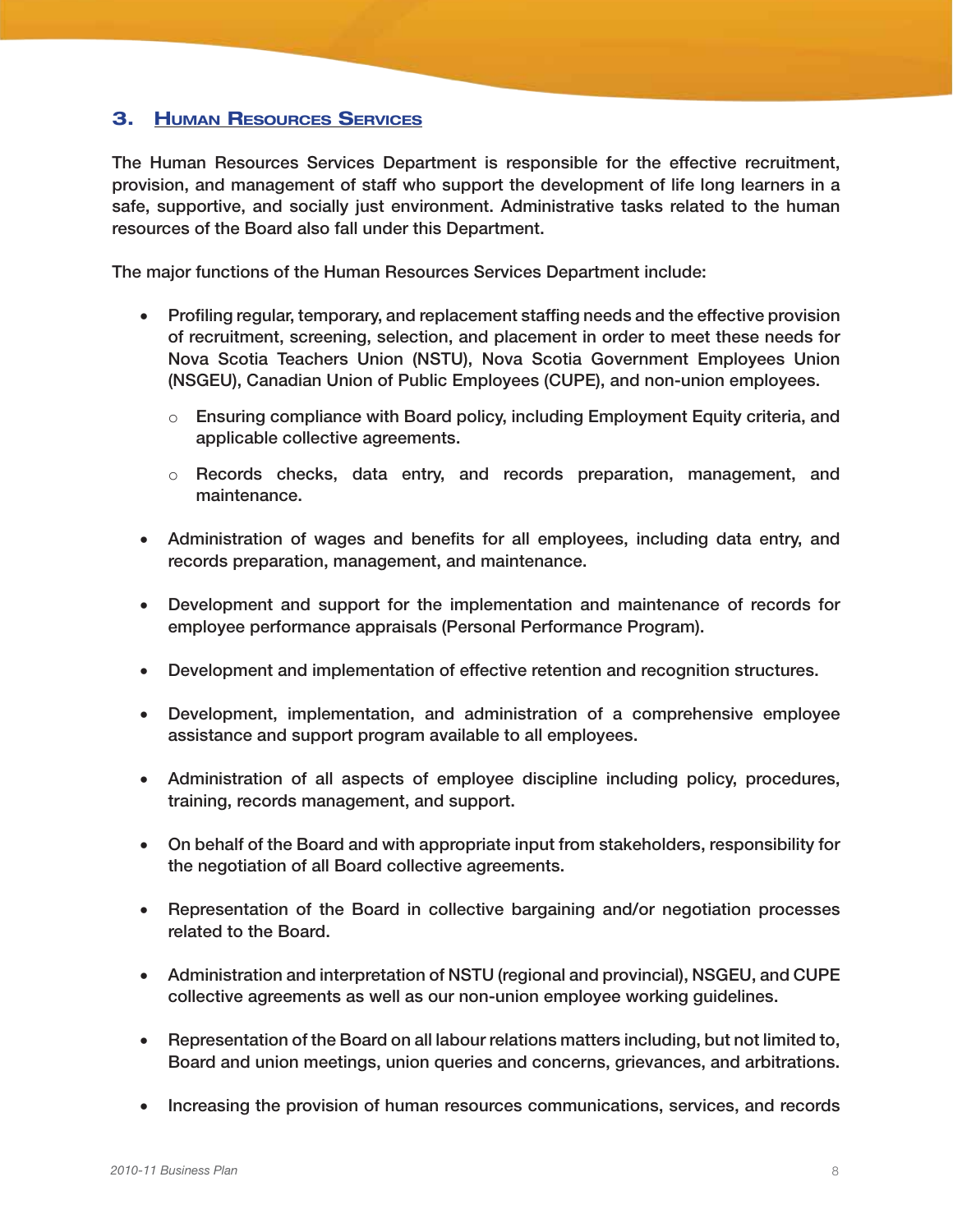### 3. Human Resources Services

The Human Resources Services Department is responsible for the effective recruitment, provision, and management of staff who support the development of life long learners in a safe, supportive, and socially just environment. Administrative tasks related to the human resources of the Board also fall under this Department.

The major functions of the Human Resources Services Department include:

- Profiling regular, temporary, and replacement staffing needs and the effective provision of recruitment, screening, selection, and placement in order to meet these needs for Nova Scotia Teachers Union (NSTU), Nova Scotia Government Employees Union (NSGEU), Canadian Union of Public Employees (CUPE), and non-union employees.
	- $\circ$  Ensuring compliance with Board policy, including Employment Equity criteria, and applicable collective agreements.
	- $\circ$  Records checks, data entry, and records preparation, management, and maintenance.
- Administration of wages and benefits for all employees, including data entry, and records preparation, management, and maintenance.
- Development and support for the implementation and maintenance of records for employee performance appraisals (Personal Performance Program).
- Development and implementation of effective retention and recognition structures.
- • Development, implementation, and administration of a comprehensive employee assistance and support program available to all employees.
- • Administration of all aspects of employee discipline including policy, procedures, training, records management, and support.
- On behalf of the Board and with appropriate input from stakeholders, responsibility for the negotiation of all Board collective agreements.
- Representation of the Board in collective bargaining and/or negotiation processes related to the Board.
- Administration and interpretation of NSTU (regional and provincial), NSGEU, and CUPE collective agreements as well as our non-union employee working guidelines.
- Representation of the Board on all labour relations matters including, but not limited to, Board and union meetings, union queries and concerns, grievances, and arbitrations.
- Increasing the provision of human resources communications, services, and records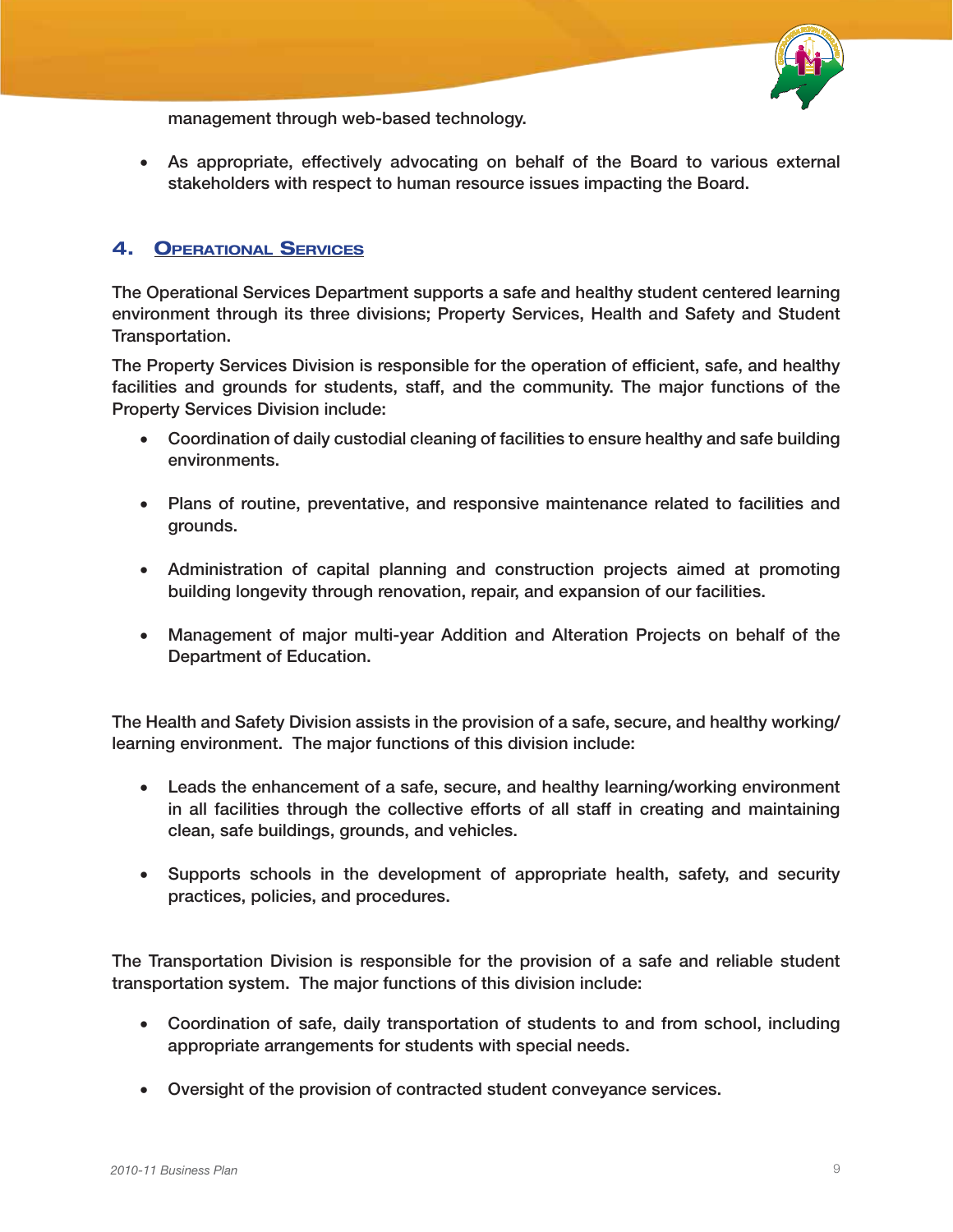

management through web-based technology.

• As appropriate, effectively advocating on behalf of the Board to various external stakeholders with respect to human resource issues impacting the Board.

### 4. Operational Services

The Operational Services Department supports a safe and healthy student centered learning environment through its three divisions; Property Services, Health and Safety and Student Transportation.

The Property Services Division is responsible for the operation of efficient, safe, and healthy facilities and grounds for students, staff, and the community. The major functions of the Property Services Division include:

- • Coordination of daily custodial cleaning of facilities to ensure healthy and safe building environments.
- Plans of routine, preventative, and responsive maintenance related to facilities and grounds.
- • Administration of capital planning and construction projects aimed at promoting building longevity through renovation, repair, and expansion of our facilities.
- • Management of major multi-year Addition and Alteration Projects on behalf of the Department of Education.

The Health and Safety Division assists in the provision of a safe, secure, and healthy working/ learning environment. The major functions of this division include:

- Leads the enhancement of a safe, secure, and healthy learning/working environment in all facilities through the collective efforts of all staff in creating and maintaining clean, safe buildings, grounds, and vehicles.
- • Supports schools in the development of appropriate health, safety, and security practices, policies, and procedures.

The Transportation Division is responsible for the provision of a safe and reliable student transportation system. The major functions of this division include:

- Coordination of safe, daily transportation of students to and from school, including appropriate arrangements for students with special needs.
- • Oversight of the provision of contracted student conveyance services.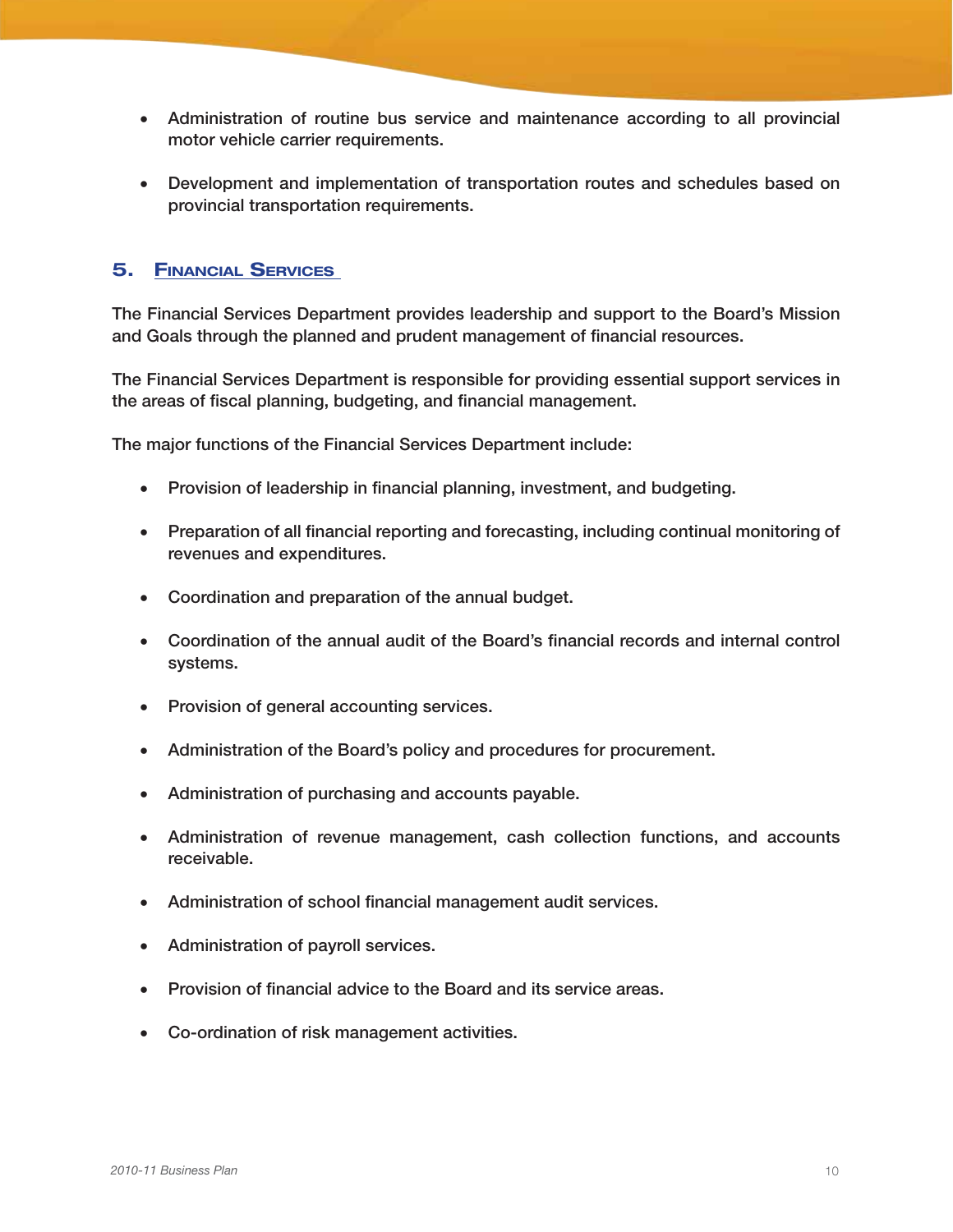- • Administration of routine bus service and maintenance according to all provincial motor vehicle carrier requirements.
- Development and implementation of transportation routes and schedules based on provincial transportation requirements.

### 5. Financial Services

The Financial Services Department provides leadership and support to the Board's Mission and Goals through the planned and prudent management of financial resources.

The Financial Services Department is responsible for providing essential support services in the areas of fiscal planning, budgeting, and financial management.

The major functions of the Financial Services Department include:

- Provision of leadership in financial planning, investment, and budgeting.
- Preparation of all financial reporting and forecasting, including continual monitoring of revenues and expenditures.
- Coordination and preparation of the annual budget.
- • Coordination of the annual audit of the Board's financial records and internal control systems.
- Provision of general accounting services.
- • Administration of the Board's policy and procedures for procurement.
- Administration of purchasing and accounts payable.
- • Administration of revenue management, cash collection functions, and accounts receivable.
- • Administration of school financial management audit services.
- • Administration of payroll services.
- Provision of financial advice to the Board and its service areas.
- • Co-ordination of risk management activities.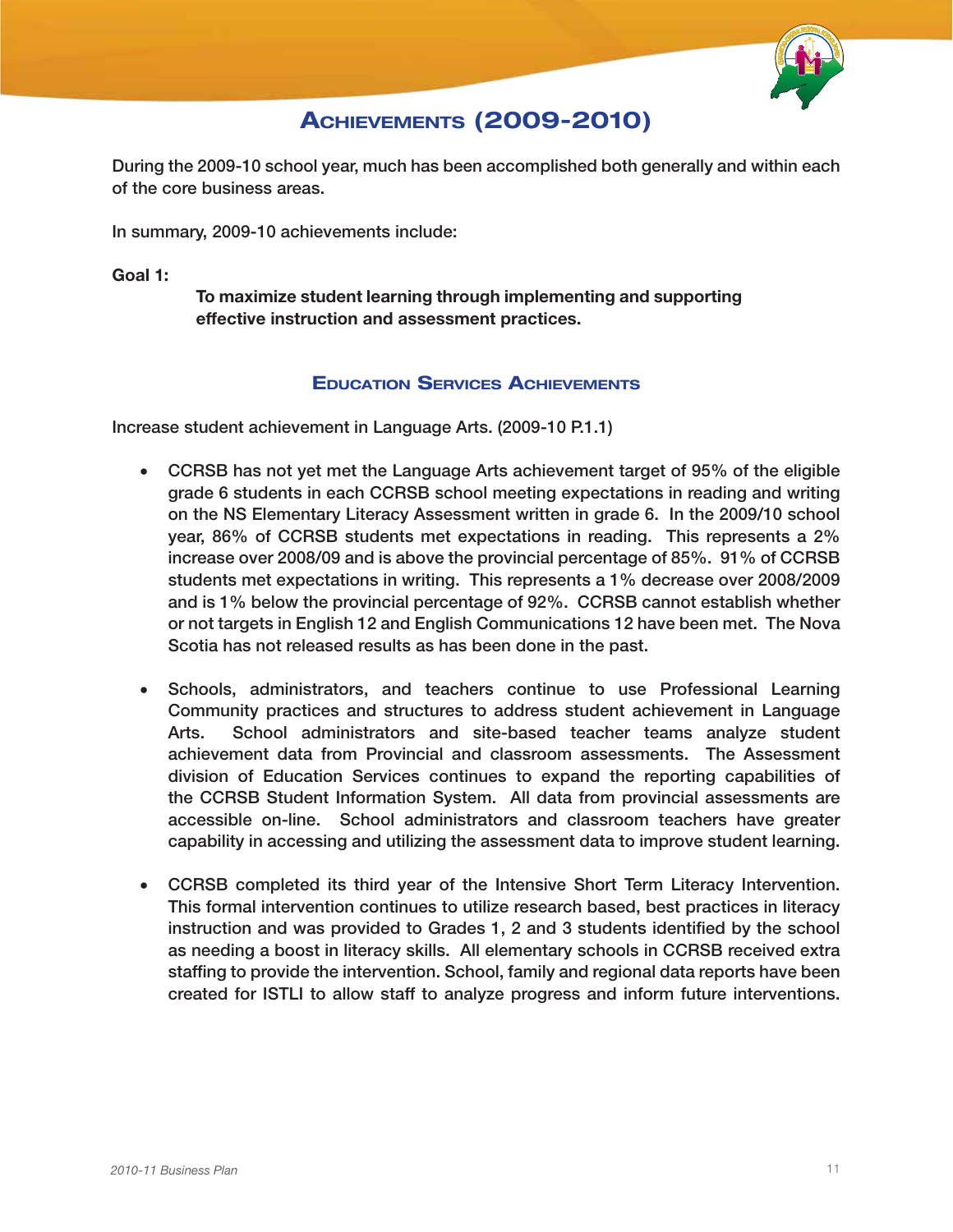

### **ACHIEVEMENTS (2009-2010)**

During the 2009-10 school year, much has been accomplished both generally and within each of the core business areas.

In summary, 2009-10 achievements include:

Goal 1:

To maximize student learning through implementing and supporting effective instruction and assessment practices.

#### Education Services Achievements

Increase student achievement in Language Arts. (2009-10 P.1.1)

- CCRSB has not yet met the Language Arts achievement target of 95% of the eligible grade 6 students in each CCRSB school meeting expectations in reading and writing on the NS Elementary Literacy Assessment written in grade 6. In the 2009/10 school year, 86% of CCRSB students met expectations in reading. This represents a 2% increase over 2008/09 and is above the provincial percentage of 85%. 91% of CCRSB students met expectations in writing. This represents a 1% decrease over 2008/2009 and is 1% below the provincial percentage of 92%. CCRSB cannot establish whether or not targets in English 12 and English Communications 12 have been met. The Nova Scotia has not released results as has been done in the past.
- • Schools, administrators, and teachers continue to use Professional Learning Community practices and structures to address student achievement in Language Arts. School administrators and site-based teacher teams analyze student achievement data from Provincial and classroom assessments. The Assessment division of Education Services continues to expand the reporting capabilities of the CCRSB Student Information System. All data from provincial assessments are accessible on-line. School administrators and classroom teachers have greater capability in accessing and utilizing the assessment data to improve student learning.
- • CCRSB completed its third year of the Intensive Short Term Literacy Intervention. This formal intervention continues to utilize research based, best practices in literacy instruction and was provided to Grades 1, 2 and 3 students identified by the school as needing a boost in literacy skills. All elementary schools in CCRSB received extra staffing to provide the intervention. School, family and regional data reports have been created for ISTLI to allow staff to analyze progress and inform future interventions.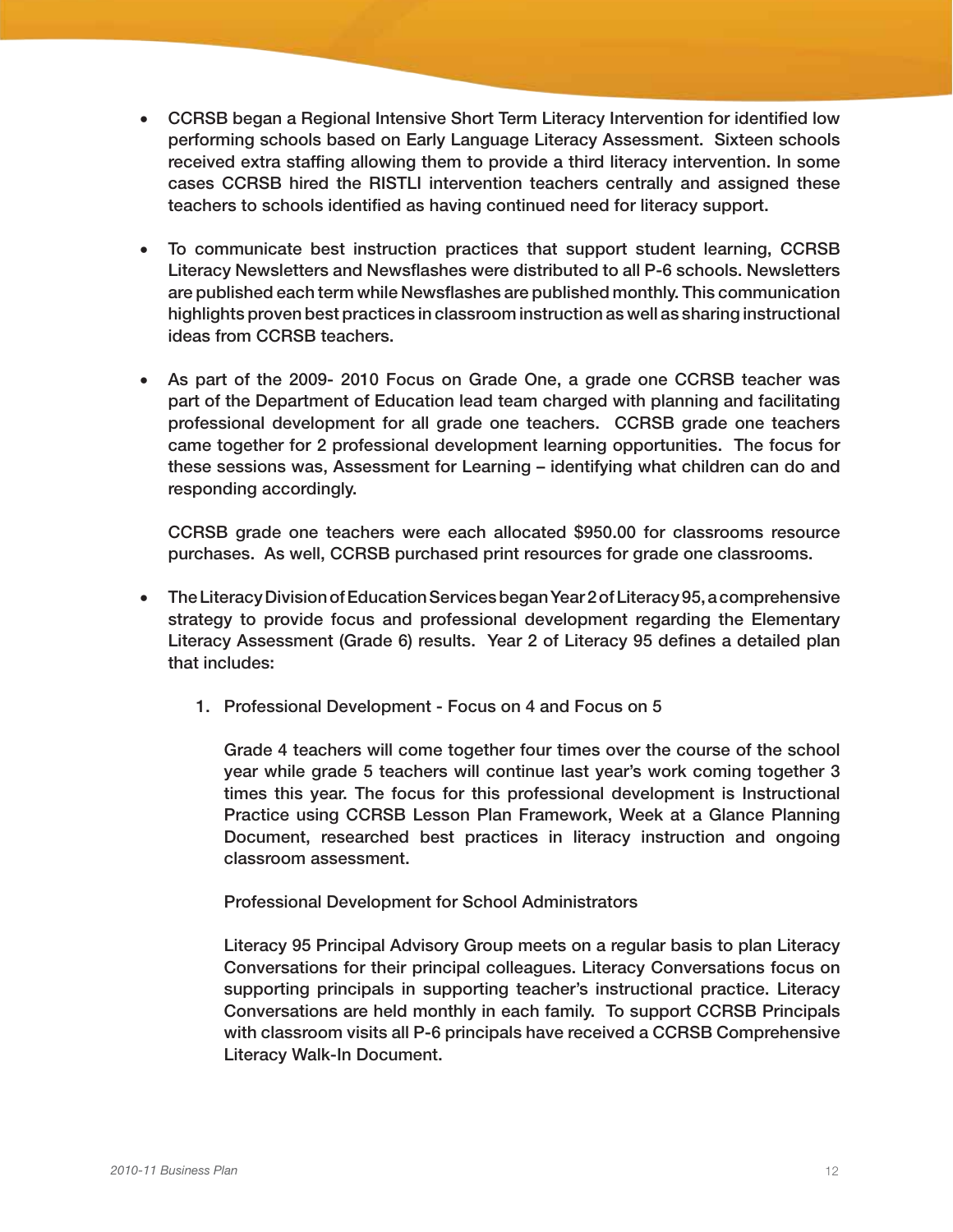- CCRSB began a Regional Intensive Short Term Literacy Intervention for identified low performing schools based on Early Language Literacy Assessment. Sixteen schools received extra staffing allowing them to provide a third literacy intervention. In some cases CCRSB hired the RISTLI intervention teachers centrally and assigned these teachers to schools identified as having continued need for literacy support.
- To communicate best instruction practices that support student learning, CCRSB Literacy Newsletters and Newsflashes were distributed to all P-6 schools. Newsletters are published each term while Newsflashes are published monthly. This communication highlights proven best practices in classroom instruction as well as sharing instructional ideas from CCRSB teachers.
- As part of the 2009- 2010 Focus on Grade One, a grade one CCRSB teacher was part of the Department of Education lead team charged with planning and facilitating professional development for all grade one teachers. CCRSB grade one teachers came together for 2 professional development learning opportunities. The focus for these sessions was, Assessment for Learning – identifying what children can do and responding accordingly.

CCRSB grade one teachers were each allocated \$950.00 for classrooms resource purchases. As well, CCRSB purchased print resources for grade one classrooms.

- • The Literacy Division of Education Services began Year 2 of Literacy 95, a comprehensive strategy to provide focus and professional development regarding the Elementary Literacy Assessment (Grade 6) results. Year 2 of Literacy 95 defines a detailed plan that includes:
	- 1. Professional Development Focus on 4 and Focus on 5

Grade 4 teachers will come together four times over the course of the school year while grade 5 teachers will continue last year's work coming together 3 times this year. The focus for this professional development is Instructional Practice using CCRSB Lesson Plan Framework, Week at a Glance Planning Document, researched best practices in literacy instruction and ongoing classroom assessment.

Professional Development for School Administrators

Literacy 95 Principal Advisory Group meets on a regular basis to plan Literacy Conversations for their principal colleagues. Literacy Conversations focus on supporting principals in supporting teacher's instructional practice. Literacy Conversations are held monthly in each family. To support CCRSB Principals with classroom visits all P-6 principals have received a CCRSB Comprehensive Literacy Walk-In Document.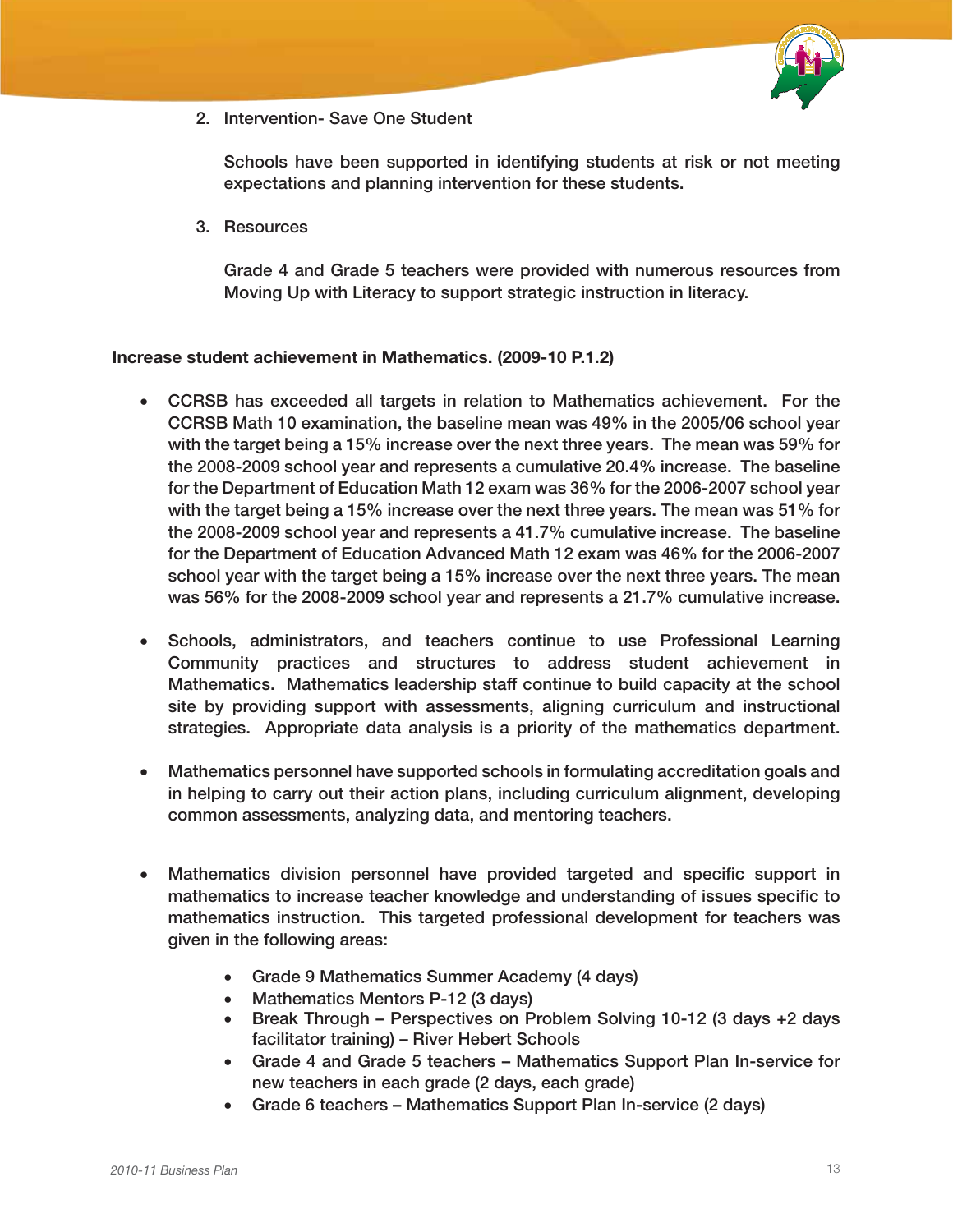

2. Intervention- Save One Student

Schools have been supported in identifying students at risk or not meeting expectations and planning intervention for these students.

3. Resources

Grade 4 and Grade 5 teachers were provided with numerous resources from Moving Up with Literacy to support strategic instruction in literacy.

#### Increase student achievement in Mathematics. (2009-10 P.1.2)

- • CCRSB has exceeded all targets in relation to Mathematics achievement. For the CCRSB Math 10 examination, the baseline mean was 49% in the 2005/06 school year with the target being a 15% increase over the next three years. The mean was 59% for the 2008-2009 school year and represents a cumulative 20.4% increase. The baseline for the Department of Education Math 12 exam was 36% for the 2006-2007 school year with the target being a 15% increase over the next three years. The mean was 51% for the 2008-2009 school year and represents a 41.7% cumulative increase. The baseline for the Department of Education Advanced Math 12 exam was 46% for the 2006-2007 school year with the target being a 15% increase over the next three years. The mean was 56% for the 2008-2009 school year and represents a 21.7% cumulative increase.
- • Schools, administrators, and teachers continue to use Professional Learning Community practices and structures to address student achievement in Mathematics. Mathematics leadership staff continue to build capacity at the school site by providing support with assessments, aligning curriculum and instructional strategies. Appropriate data analysis is a priority of the mathematics department.
- Mathematics personnel have supported schools in formulating accreditation goals and in helping to carry out their action plans, including curriculum alignment, developing common assessments, analyzing data, and mentoring teachers.
- Mathematics division personnel have provided targeted and specific support in mathematics to increase teacher knowledge and understanding of issues specific to mathematics instruction. This targeted professional development for teachers was given in the following areas:
	- Grade 9 Mathematics Summer Academy (4 days)
	- Mathematics Mentors P-12 (3 days)
	- Break Through Perspectives on Problem Solving 10-12 (3 days +2 days facilitator training) – River Hebert Schools
	- Grade 4 and Grade 5 teachers Mathematics Support Plan In-service for new teachers in each grade (2 days, each grade)
	- Grade 6 teachers Mathematics Support Plan In-service (2 days)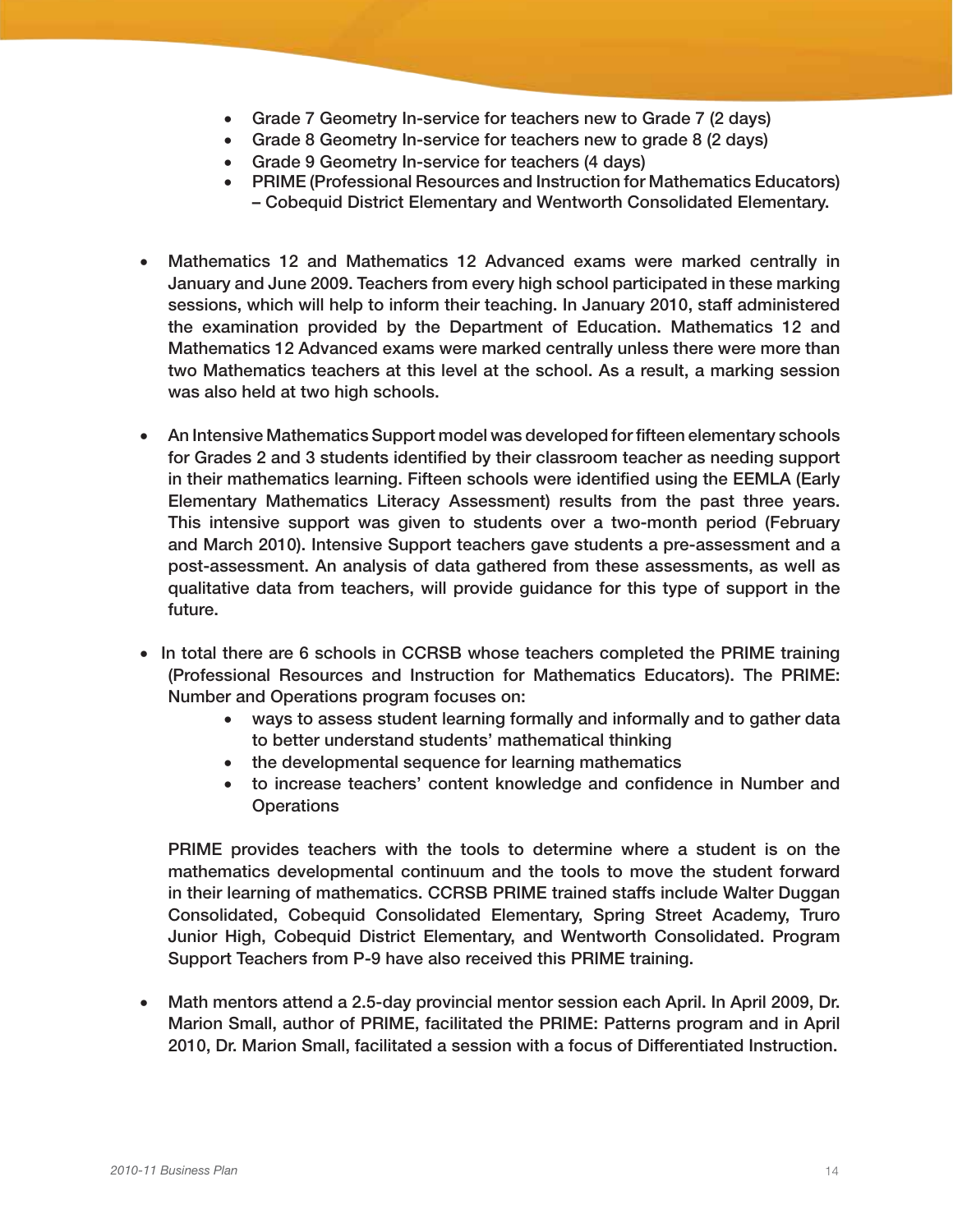- Grade 7 Geometry In-service for teachers new to Grade 7 (2 days)
- Grade 8 Geometry In-service for teachers new to grade 8 (2 days)
- Grade 9 Geometry In-service for teachers (4 days)
- • PRIME (Professional Resources and Instruction for Mathematics Educators) – Cobequid District Elementary and Wentworth Consolidated Elementary.
- Mathematics 12 and Mathematics 12 Advanced exams were marked centrally in January and June 2009. Teachers from every high school participated in these marking sessions, which will help to inform their teaching. In January 2010, staff administered the examination provided by the Department of Education. Mathematics 12 and Mathematics 12 Advanced exams were marked centrally unless there were more than two Mathematics teachers at this level at the school. As a result, a marking session was also held at two high schools.
- An Intensive Mathematics Support model was developed for fifteen elementary schools for Grades 2 and 3 students identified by their classroom teacher as needing support in their mathematics learning. Fifteen schools were identified using the EEMLA (Early Elementary Mathematics Literacy Assessment) results from the past three years. This intensive support was given to students over a two-month period (February and March 2010). Intensive Support teachers gave students a pre-assessment and a post-assessment. An analysis of data gathered from these assessments, as well as qualitative data from teachers, will provide guidance for this type of support in the future.
- In total there are 6 schools in CCRSB whose teachers completed the PRIME training (Professional Resources and Instruction for Mathematics Educators). The PRIME: Number and Operations program focuses on:
	- ways to assess student learning formally and informally and to gather data to better understand students' mathematical thinking
	- the developmental sequence for learning mathematics
	- to increase teachers' content knowledge and confidence in Number and **Operations**

PRIME provides teachers with the tools to determine where a student is on the mathematics developmental continuum and the tools to move the student forward in their learning of mathematics. CCRSB PRIME trained staffs include Walter Duggan Consolidated, Cobequid Consolidated Elementary, Spring Street Academy, Truro Junior High, Cobequid District Elementary, and Wentworth Consolidated. Program Support Teachers from P-9 have also received this PRIME training.

• Math mentors attend a 2.5-day provincial mentor session each April. In April 2009, Dr. Marion Small, author of PRIME, facilitated the PRIME: Patterns program and in April 2010, Dr. Marion Small, facilitated a session with a focus of Differentiated Instruction.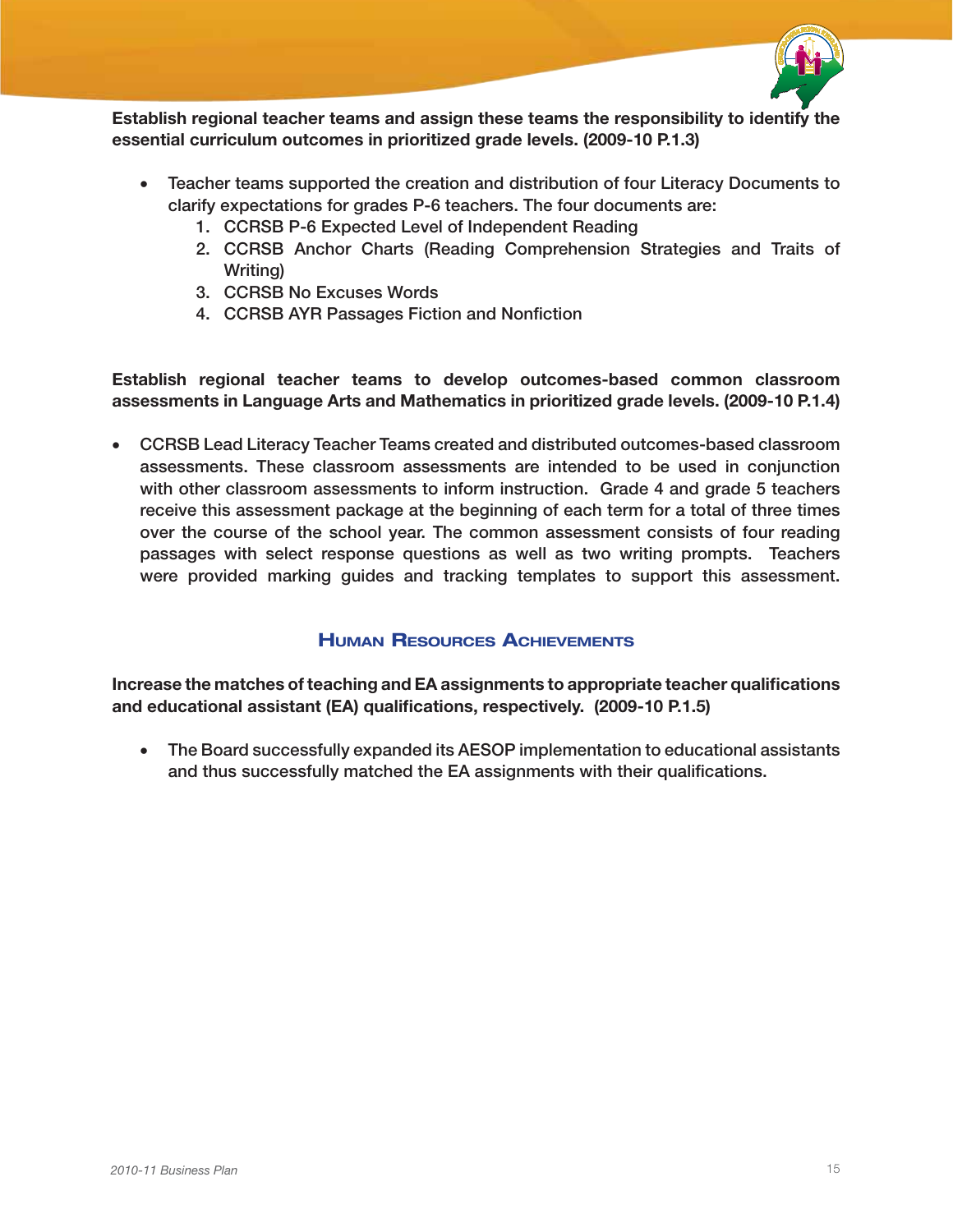

Establish regional teacher teams and assign these teams the responsibility to identify the essential curriculum outcomes in prioritized grade levels. (2009-10 P.1.3)

- Teacher teams supported the creation and distribution of four Literacy Documents to clarify expectations for grades P-6 teachers. The four documents are:
	- 1. CCRSB P-6 Expected Level of Independent Reading
	- 2. CCRSB Anchor Charts (Reading Comprehension Strategies and Traits of Writing)
	- 3. CCRSB No Excuses Words
	- 4. CCRSB AYR Passages Fiction and Nonfiction

Establish regional teacher teams to develop outcomes-based common classroom assessments in Language Arts and Mathematics in prioritized grade levels. (2009-10 P.1.4)

• CCRSB Lead Literacy Teacher Teams created and distributed outcomes-based classroom assessments. These classroom assessments are intended to be used in conjunction with other classroom assessments to inform instruction. Grade 4 and grade 5 teachers receive this assessment package at the beginning of each term for a total of three times over the course of the school year. The common assessment consists of four reading passages with select response questions as well as two writing prompts. Teachers were provided marking guides and tracking templates to support this assessment.

### Human Resources Achievements

Increase the matches of teaching and EA assignments to appropriate teacher qualifications and educational assistant (EA) qualifications, respectively. (2009-10 P.1.5)

• The Board successfully expanded its AESOP implementation to educational assistants and thus successfully matched the EA assignments with their qualifications.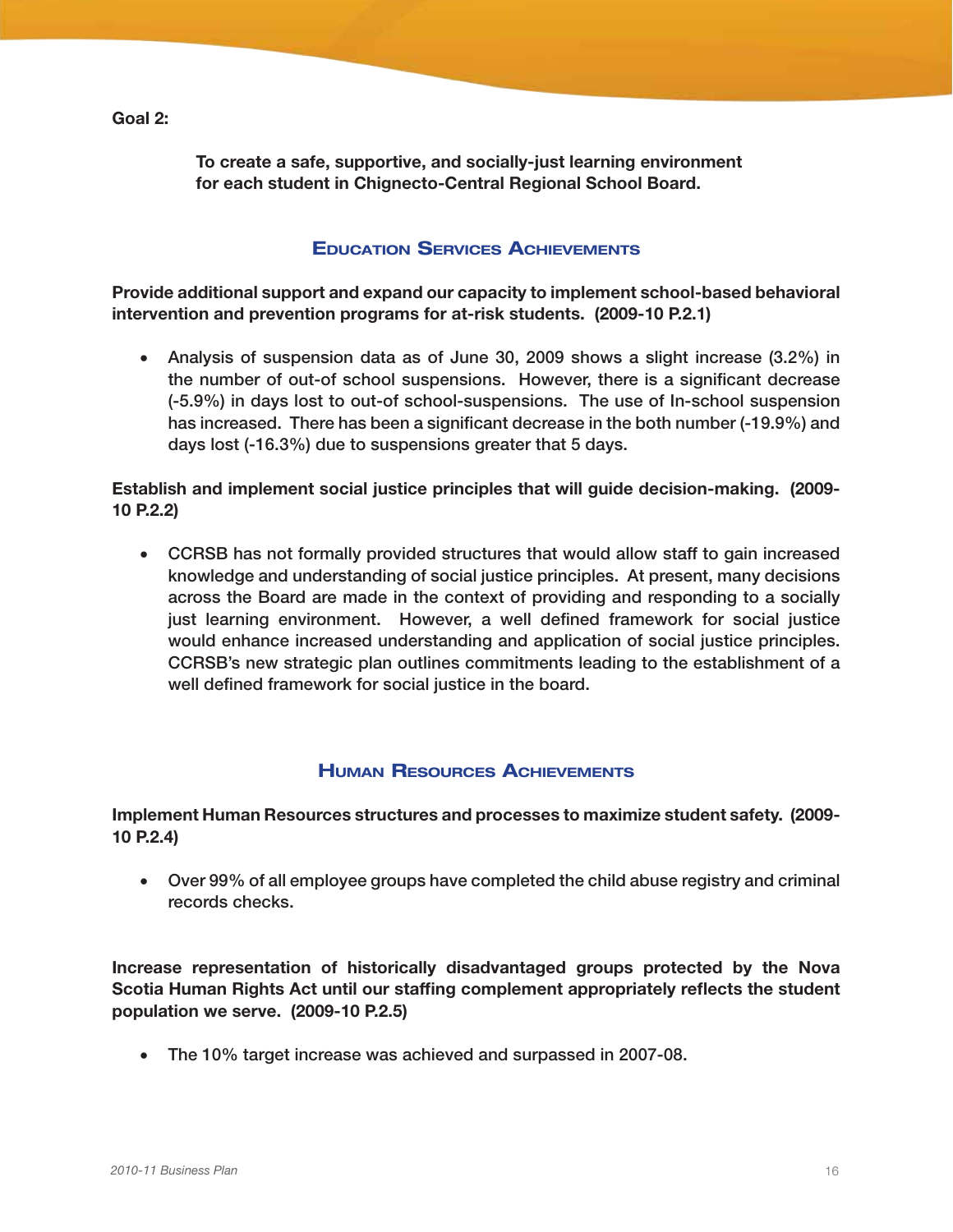Goal 2:

To create a safe, supportive, and socially-just learning environment for each student in Chignecto-Central Regional School Board.

### Education Services Achievements

Provide additional support and expand our capacity to implement school-based behavioral intervention and prevention programs for at-risk students. (2009-10 P.2.1)

• Analysis of suspension data as of June 30, 2009 shows a slight increase (3.2%) in the number of out-of school suspensions. However, there is a significant decrease (-5.9%) in days lost to out-of school-suspensions. The use of In-school suspension has increased. There has been a significant decrease in the both number (-19.9%) and days lost (-16.3%) due to suspensions greater that 5 days.

Establish and implement social justice principles that will guide decision-making. (2009- 10 P.2.2)

• CCRSB has not formally provided structures that would allow staff to gain increased knowledge and understanding of social justice principles. At present, many decisions across the Board are made in the context of providing and responding to a socially just learning environment. However, a well defined framework for social justice would enhance increased understanding and application of social justice principles. CCRSB's new strategic plan outlines commitments leading to the establishment of a well defined framework for social justice in the board.

### Human Resources Achievements

#### Implement Human Resources structures and processes to maximize student safety. (2009- 10 P.2.4)

• Over 99% of all employee groups have completed the child abuse registry and criminal records checks.

Increase representation of historically disadvantaged groups protected by the Nova Scotia Human Rights Act until our staffing complement appropriately reflects the student population we serve. (2009-10 P.2.5)

• The 10% target increase was achieved and surpassed in 2007-08.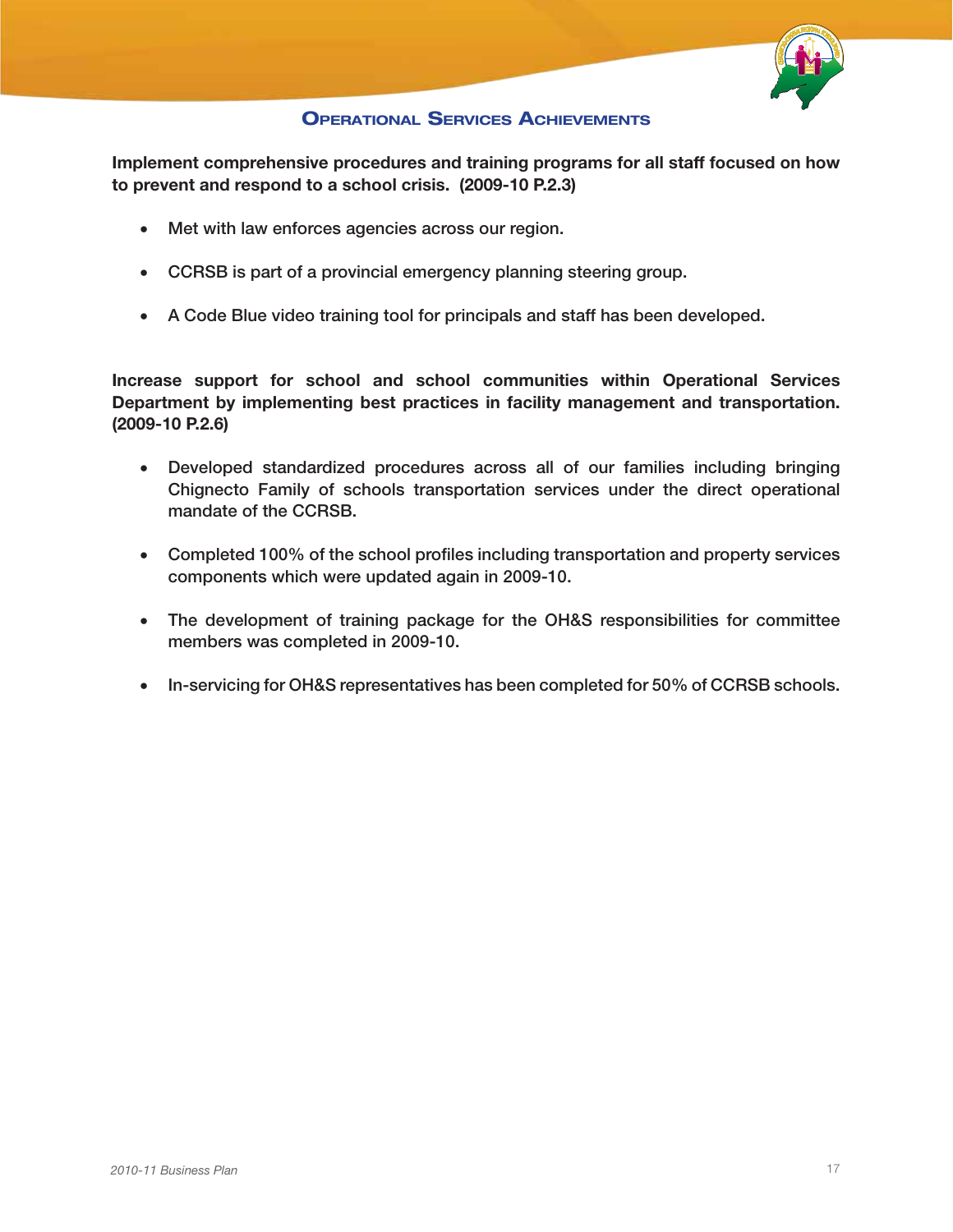

### Operational Services Achievements

Implement comprehensive procedures and training programs for all staff focused on how to prevent and respond to a school crisis. (2009-10 P.2.3)

- Met with law enforces agencies across our region.
- CCRSB is part of a provincial emergency planning steering group.
- • A Code Blue video training tool for principals and staff has been developed.

Increase support for school and school communities within Operational Services Department by implementing best practices in facility management and transportation. (2009-10 P.2.6)

- • Developed standardized procedures across all of our families including bringing Chignecto Family of schools transportation services under the direct operational mandate of the CCRSB.
- Completed 100% of the school profiles including transportation and property services components which were updated again in 2009-10.
- The development of training package for the OH&S responsibilities for committee members was completed in 2009-10.
- In-servicing for OH&S representatives has been completed for 50% of CCRSB schools.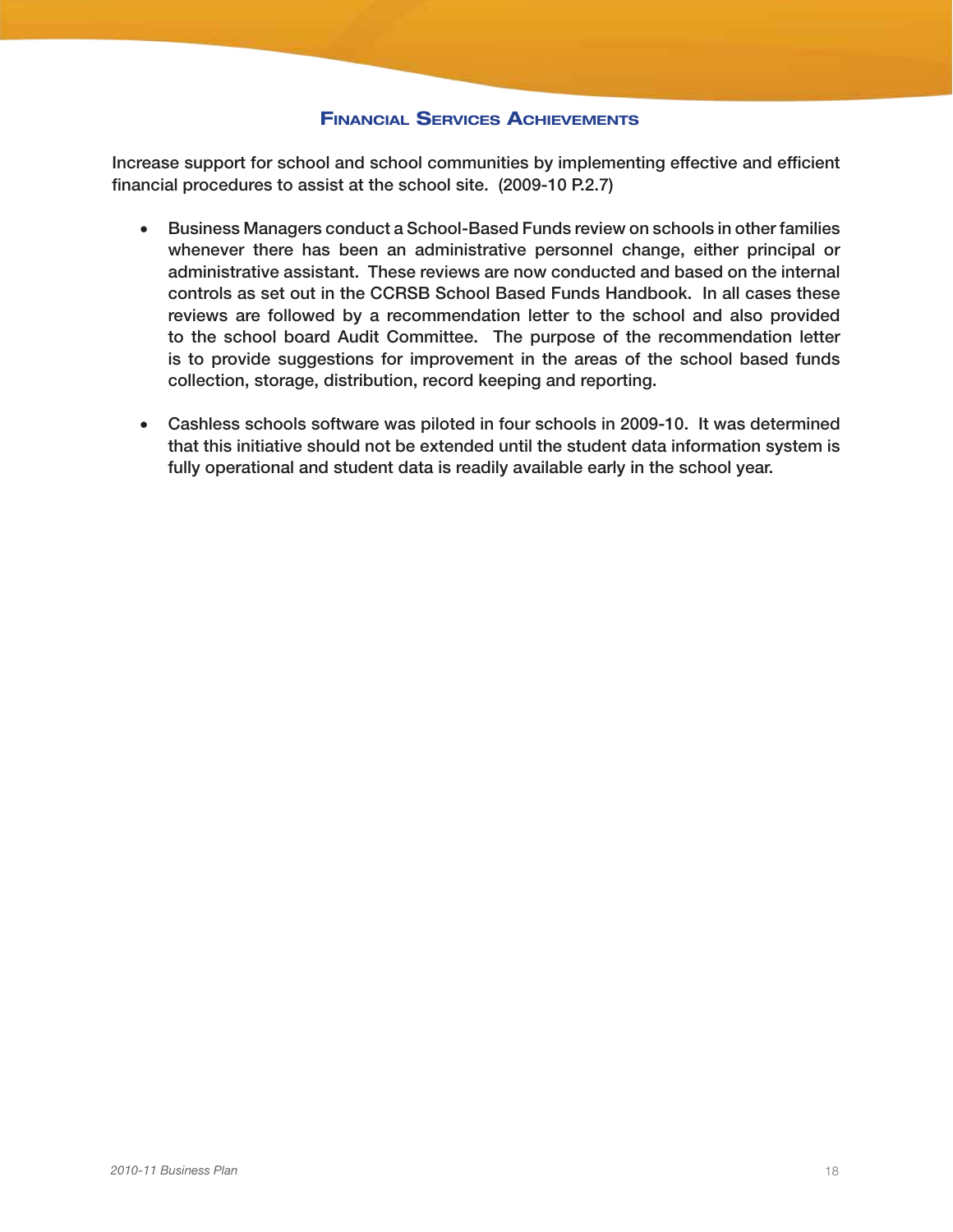### Financial Services Achievements

Increase support for school and school communities by implementing effective and efficient financial procedures to assist at the school site. (2009-10 P.2.7)

- Business Managers conduct a School-Based Funds review on schools in other families whenever there has been an administrative personnel change, either principal or administrative assistant. These reviews are now conducted and based on the internal controls as set out in the CCRSB School Based Funds Handbook. In all cases these reviews are followed by a recommendation letter to the school and also provided to the school board Audit Committee. The purpose of the recommendation letter is to provide suggestions for improvement in the areas of the school based funds collection, storage, distribution, record keeping and reporting.
- Cashless schools software was piloted in four schools in 2009-10. It was determined that this initiative should not be extended until the student data information system is fully operational and student data is readily available early in the school year.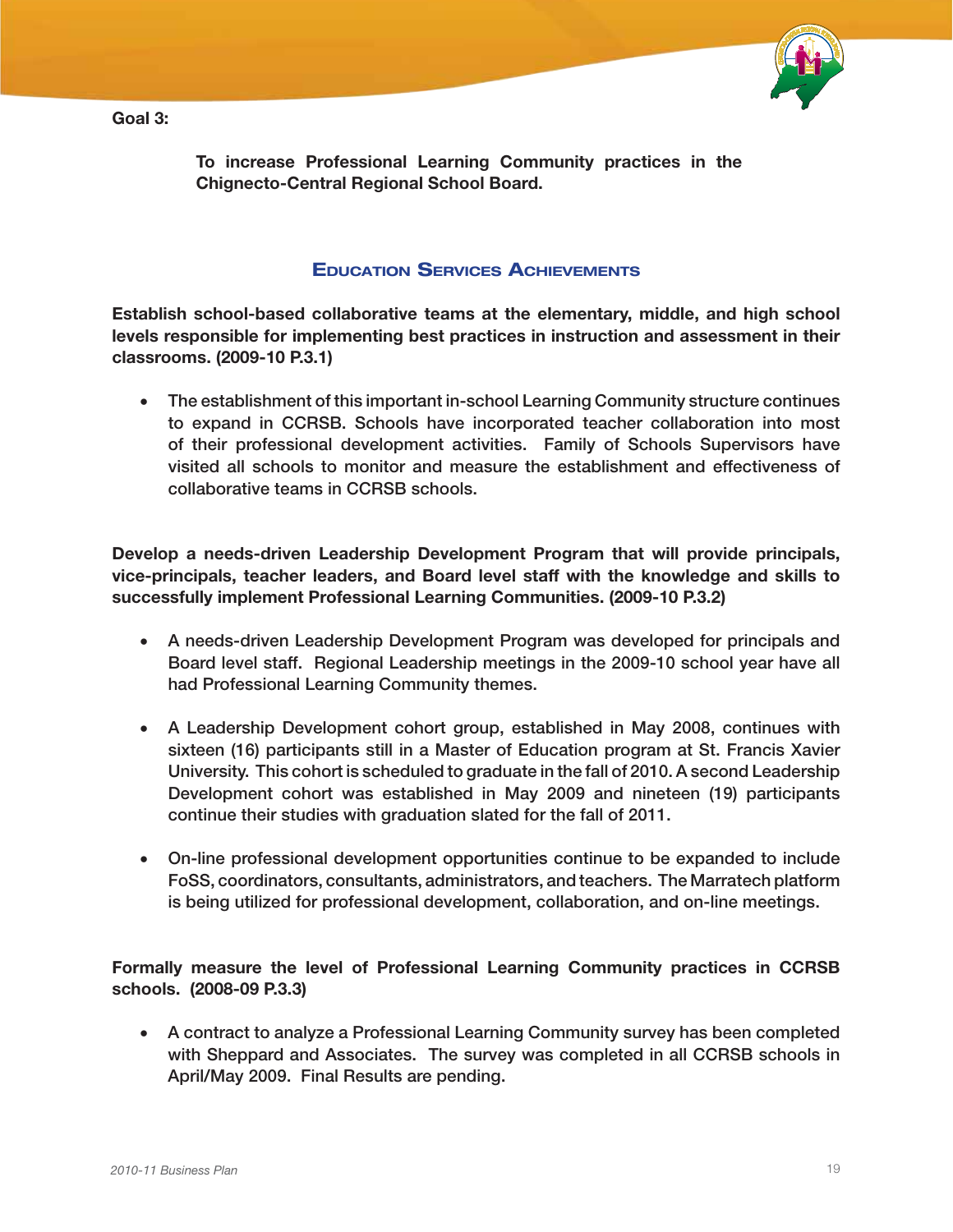Goal 3:



To increase Professional Learning Community practices in the Chignecto-Central Regional School Board.

### Education Services Achievements

Establish school-based collaborative teams at the elementary, middle, and high school levels responsible for implementing best practices in instruction and assessment in their classrooms. (2009-10 P.3.1)

• The establishment of this important in-school Learning Community structure continues to expand in CCRSB. Schools have incorporated teacher collaboration into most of their professional development activities. Family of Schools Supervisors have visited all schools to monitor and measure the establishment and effectiveness of collaborative teams in CCRSB schools.

Develop a needs-driven Leadership Development Program that will provide principals, vice-principals, teacher leaders, and Board level staff with the knowledge and skills to successfully implement Professional Learning Communities. (2009-10 P.3.2)

- A needs-driven Leadership Development Program was developed for principals and Board level staff. Regional Leadership meetings in the 2009-10 school year have all had Professional Learning Community themes.
- • A Leadership Development cohort group, established in May 2008, continues with sixteen (16) participants still in a Master of Education program at St. Francis Xavier University. This cohort is scheduled to graduate in the fall of 2010. A second Leadership Development cohort was established in May 2009 and nineteen (19) participants continue their studies with graduation slated for the fall of 2011.
- On-line professional development opportunities continue to be expanded to include FoSS, coordinators, consultants, administrators, and teachers. The Marratech platform is being utilized for professional development, collaboration, and on-line meetings.

Formally measure the level of Professional Learning Community practices in CCRSB schools. (2008-09 P.3.3)

• A contract to analyze a Professional Learning Community survey has been completed with Sheppard and Associates. The survey was completed in all CCRSB schools in April/May 2009. Final Results are pending.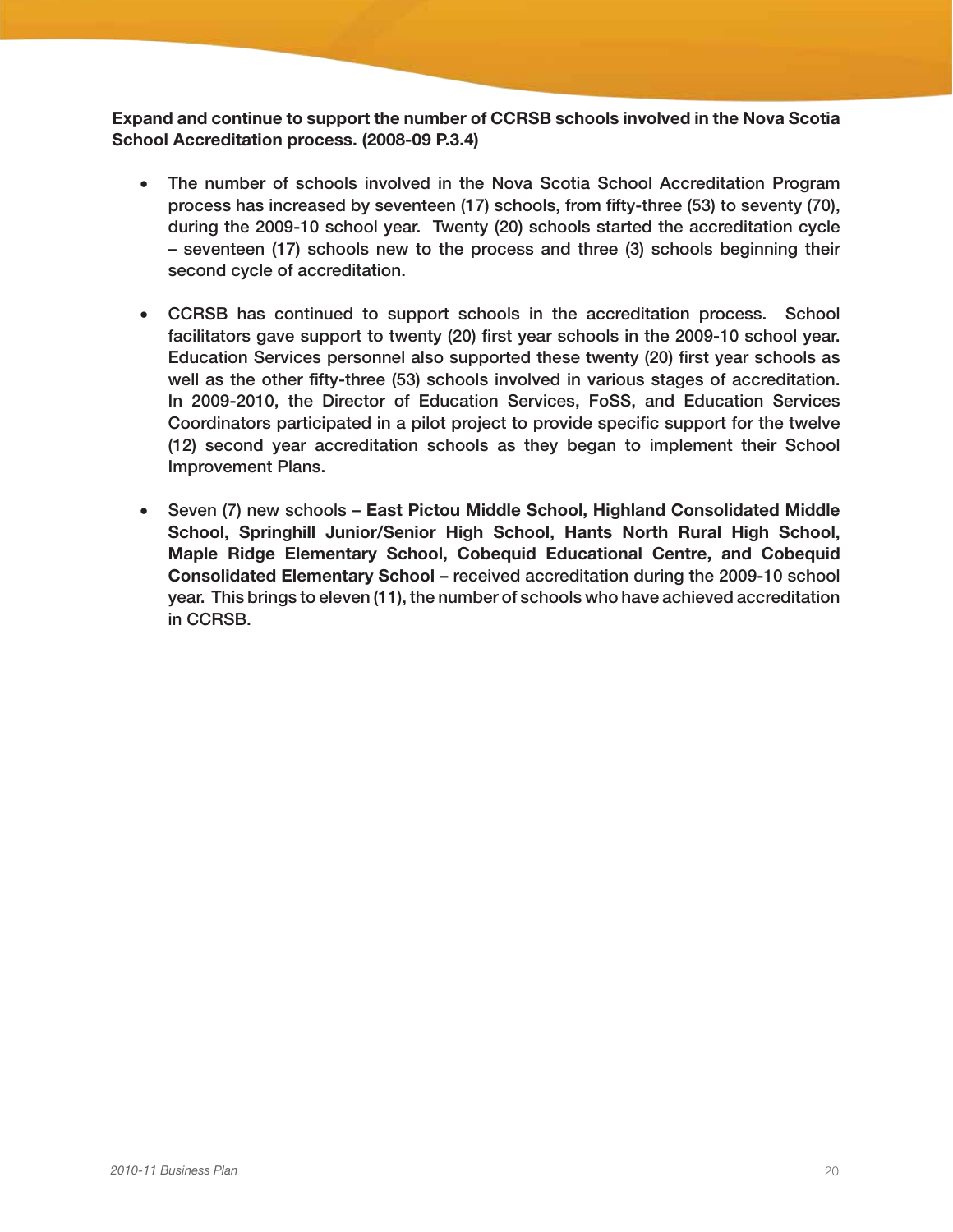Expand and continue to support the number of CCRSB schools involved in the Nova Scotia School Accreditation process. (2008-09 P.3.4)

- The number of schools involved in the Nova Scotia School Accreditation Program process has increased by seventeen (17) schools, from fifty-three (53) to seventy (70), during the 2009-10 school year. Twenty (20) schools started the accreditation cycle – seventeen (17) schools new to the process and three (3) schools beginning their second cycle of accreditation.
- CCRSB has continued to support schools in the accreditation process. School facilitators gave support to twenty (20) first year schools in the 2009-10 school year. Education Services personnel also supported these twenty (20) first year schools as well as the other fifty-three (53) schools involved in various stages of accreditation. In 2009-2010, the Director of Education Services, FoSS, and Education Services Coordinators participated in a pilot project to provide specific support for the twelve (12) second year accreditation schools as they began to implement their School Improvement Plans.
- Seven (7) new schools East Pictou Middle School, Highland Consolidated Middle School, Springhill Junior/Senior High School, Hants North Rural High School, Maple Ridge Elementary School, Cobequid Educational Centre, and Cobequid Consolidated Elementary School – received accreditation during the 2009-10 school year. This brings to eleven (11), the number of schools who have achieved accreditation in CCRSB.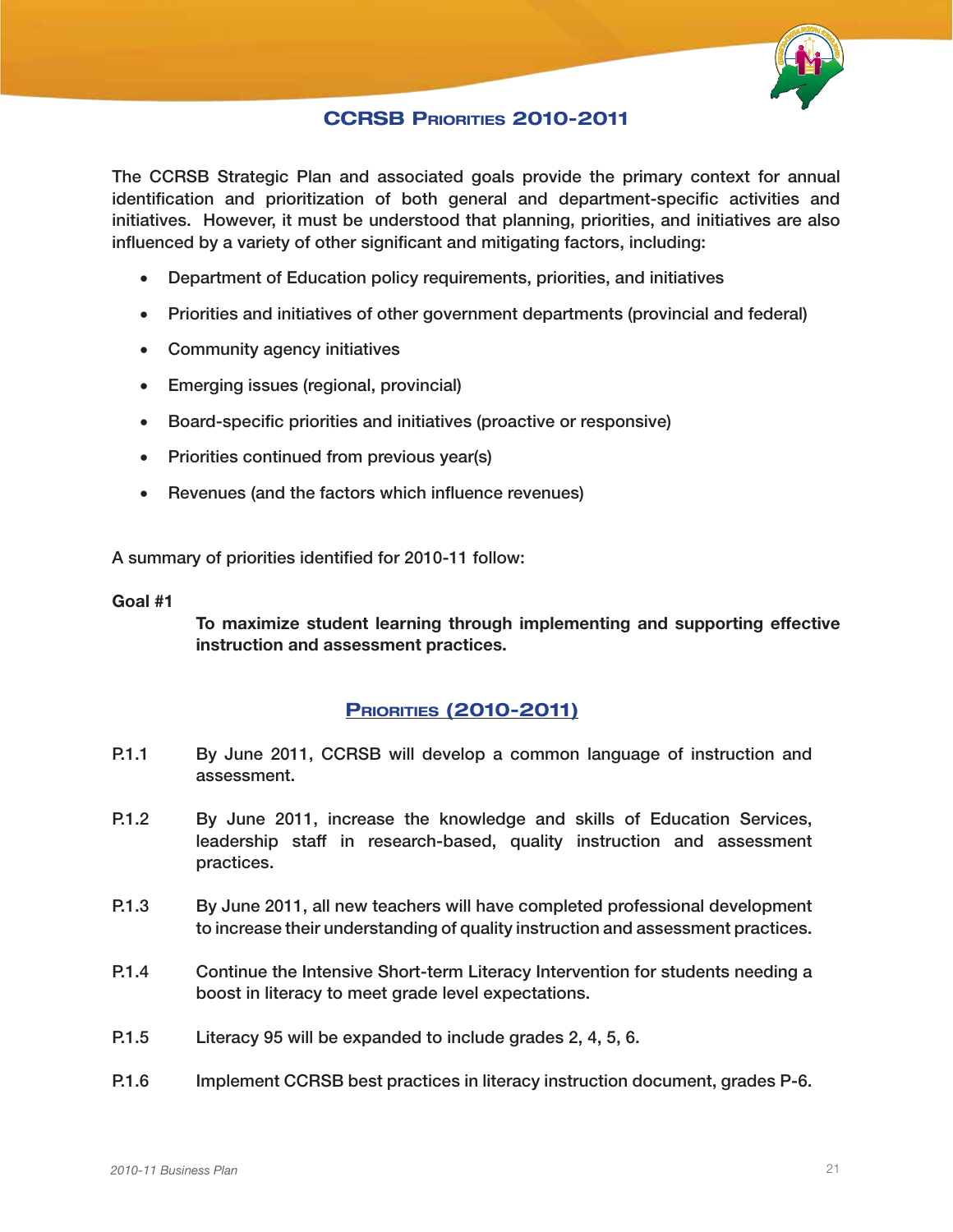

### CCRSB PRIORITIES 2010-2011

The CCRSB Strategic Plan and associated goals provide the primary context for annual identification and prioritization of both general and department-specific activities and initiatives. However, it must be understood that planning, priorities, and initiatives are also influenced by a variety of other significant and mitigating factors, including:

- • Department of Education policy requirements, priorities, and initiatives
- Priorities and initiatives of other government departments (provincial and federal)
- • Community agency initiatives
- • Emerging issues (regional, provincial)
- • Board-specific priorities and initiatives (proactive or responsive)
- Priorities continued from previous year(s)
- Revenues (and the factors which influence revenues)

A summary of priorities identified for 2010-11 follow:

#### Goal #1

To maximize student learning through implementing and supporting effective instruction and assessment practices.

### **PRIORITIES (2010-2011)**

- P.1.1 By June 2011, CCRSB will develop a common language of instruction and assessment.
- P.1.2 By June 2011, increase the knowledge and skills of Education Services, leadership staff in research-based, quality instruction and assessment practices.
- P.1.3 By June 2011, all new teachers will have completed professional development to increase their understanding of quality instruction and assessment practices.
- P.1.4 Continue the Intensive Short-term Literacy Intervention for students needing a boost in literacy to meet grade level expectations.
- P.1.5 Literacy 95 will be expanded to include grades 2, 4, 5, 6.
- P.1.6 Implement CCRSB best practices in literacy instruction document, grades P-6.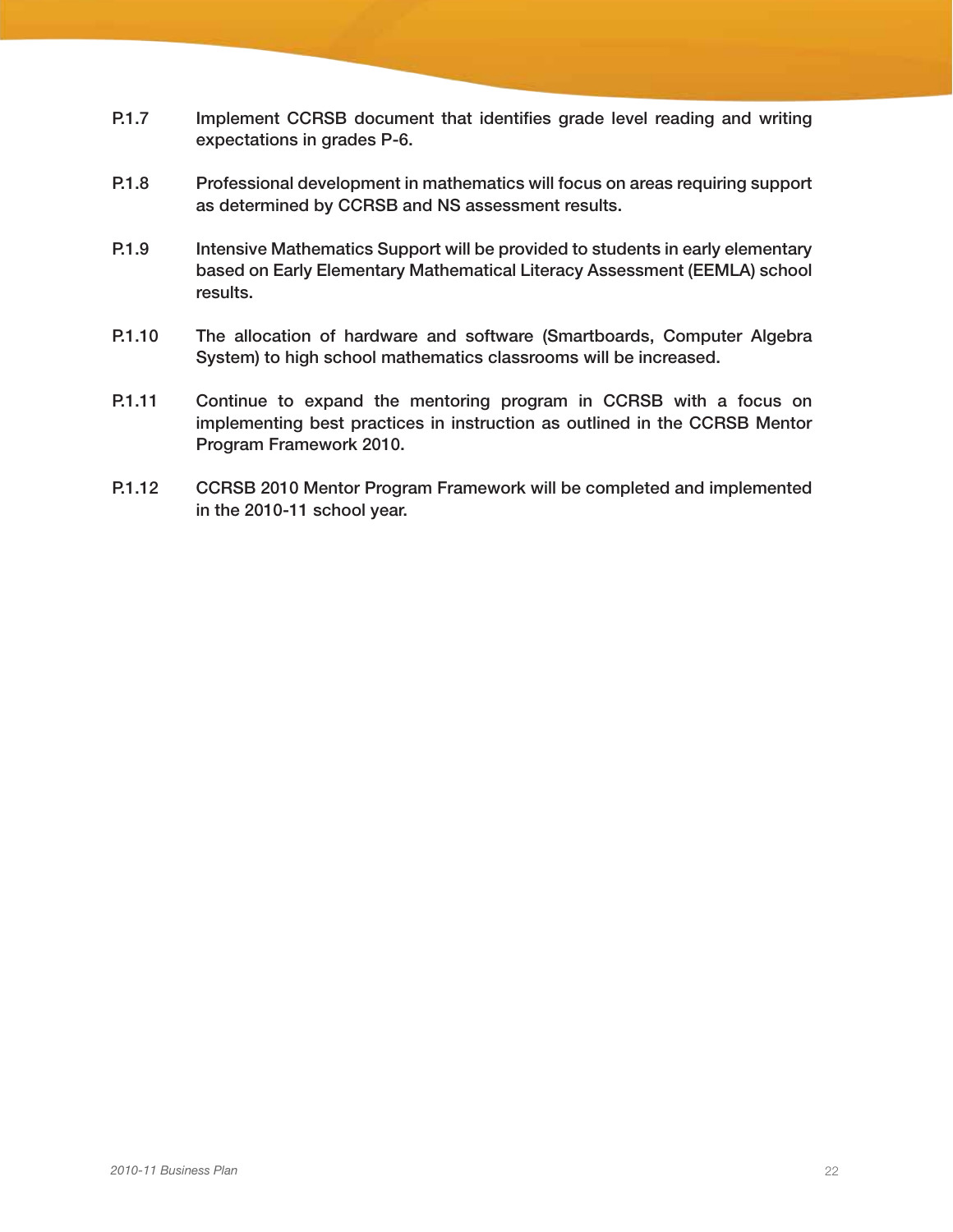- P.1.7 Implement CCRSB document that identifies grade level reading and writing expectations in grades P-6.
- P.1.8 Professional development in mathematics will focus on areas requiring support as determined by CCRSB and NS assessment results.
- P.1.9 Intensive Mathematics Support will be provided to students in early elementary based on Early Elementary Mathematical Literacy Assessment (EEMLA) school results.
- P.1.10 The allocation of hardware and software (Smartboards, Computer Algebra System) to high school mathematics classrooms will be increased.
- P.1.11 Continue to expand the mentoring program in CCRSB with a focus on implementing best practices in instruction as outlined in the CCRSB Mentor Program Framework 2010.
- P.1.12 CCRSB 2010 Mentor Program Framework will be completed and implemented in the 2010-11 school year.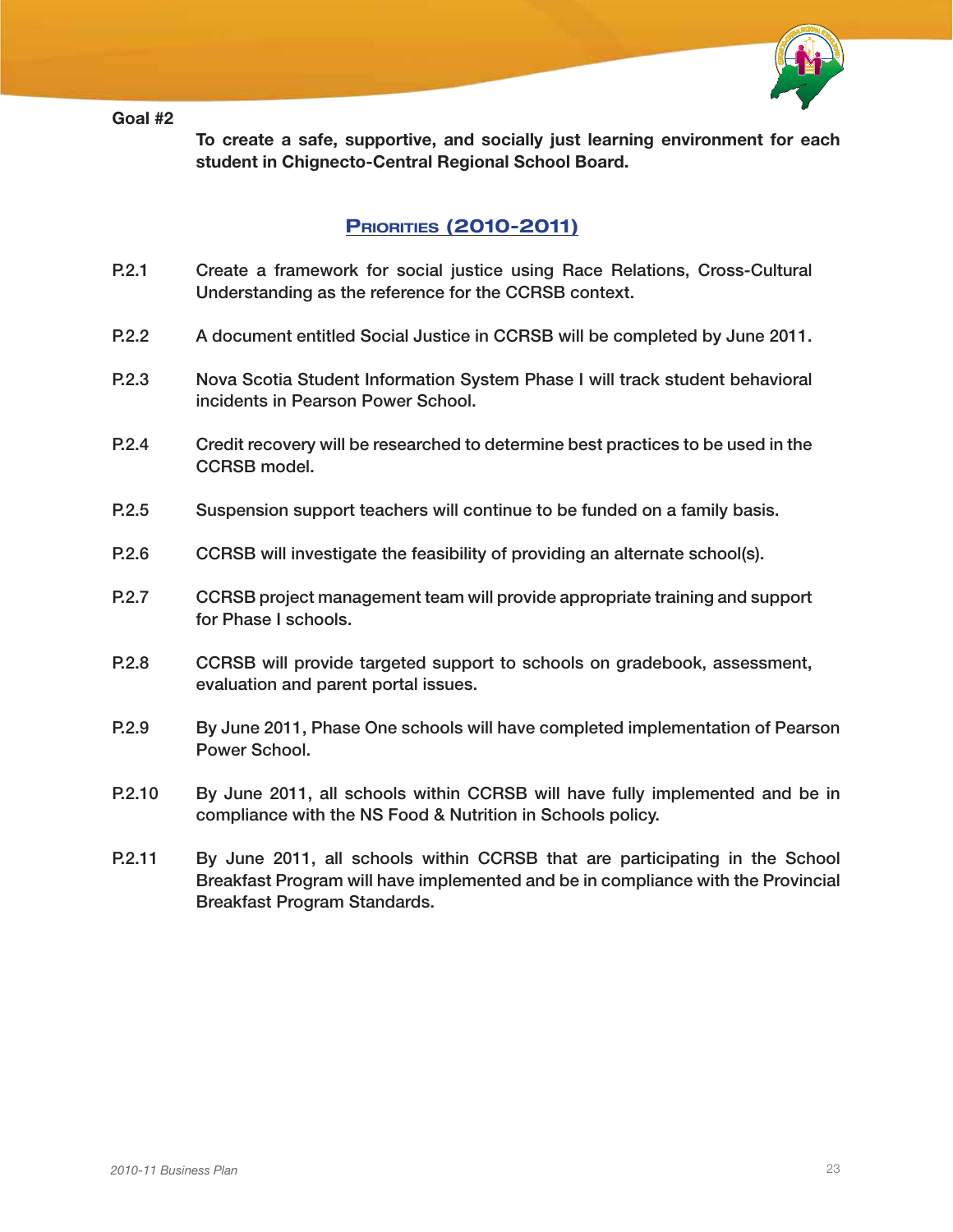#### Goal #2



To create a safe, supportive, and socially just learning environment for each student in Chignecto-Central Regional School Board.

### **PRIORITIES (2010-2011)**

- P.2.1 Create a framework for social justice using Race Relations, Cross-Cultural Understanding as the reference for the CCRSB context.
- P.2.2 A document entitled Social Justice in CCRSB will be completed by June 2011.
- P.2.3 Nova Scotia Student Information System Phase I will track student behavioral incidents in Pearson Power School.
- P.2.4 Credit recovery will be researched to determine best practices to be used in the CCRSB model.
- P.2.5 Suspension support teachers will continue to be funded on a family basis.
- P.2.6 CCRSB will investigate the feasibility of providing an alternate school(s).
- P.2.7 CCRSB project management team will provide appropriate training and support for Phase I schools.
- P.2.8 CCRSB will provide targeted support to schools on gradebook, assessment, evaluation and parent portal issues.
- P.2.9 By June 2011, Phase One schools will have completed implementation of Pearson Power School.
- P.2.10 By June 2011, all schools within CCRSB will have fully implemented and be in compliance with the NS Food & Nutrition in Schools policy.
- P.2.11 By June 2011, all schools within CCRSB that are participating in the School Breakfast Program will have implemented and be in compliance with the Provincial Breakfast Program Standards.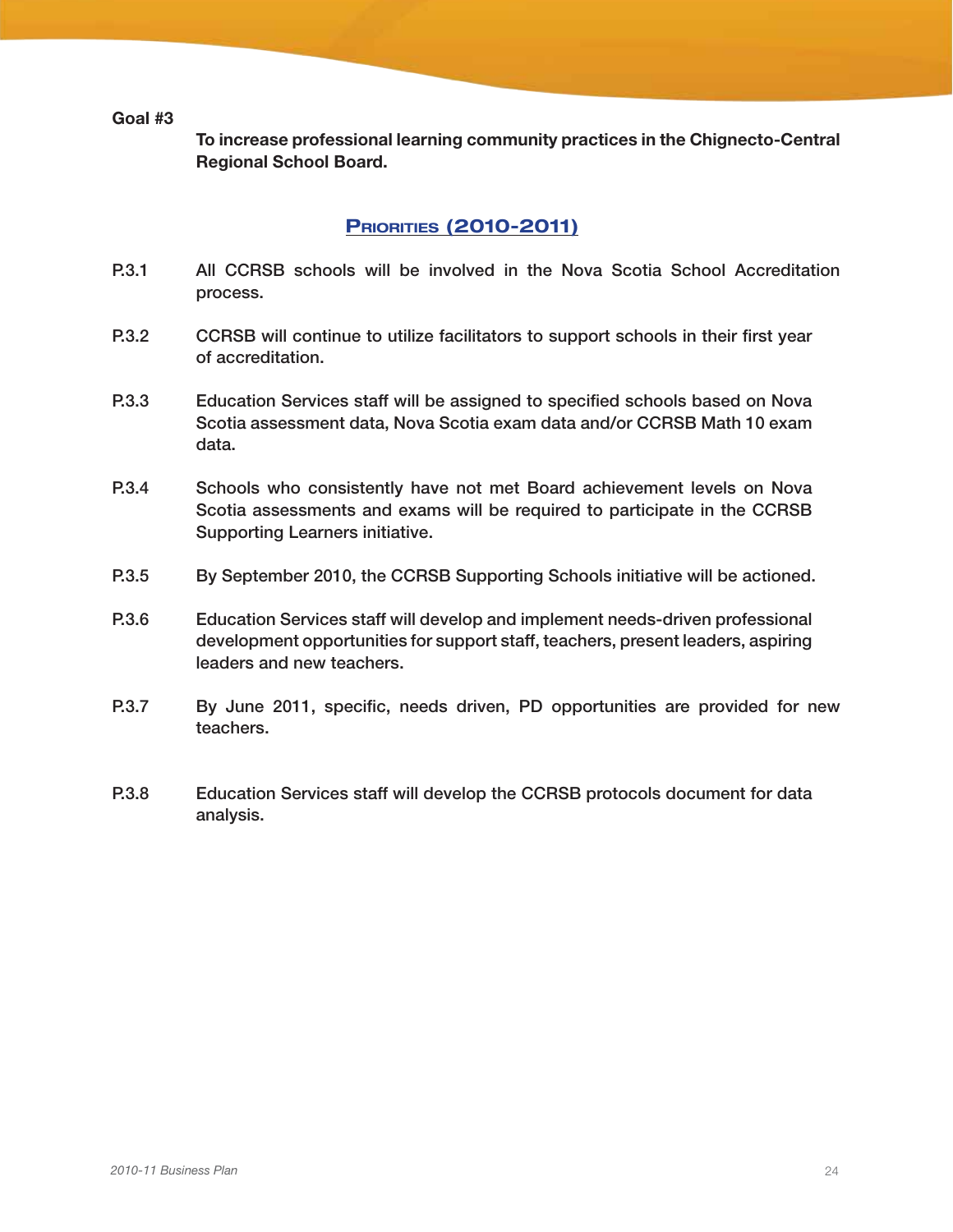Goal #3

To increase professional learning community practices in the Chignecto-Central Regional School Board.

### **PRIORITIES (2010-2011)**

- P.3.1 All CCRSB schools will be involved in the Nova Scotia School Accreditation process.
- P.3.2 CCRSB will continue to utilize facilitators to support schools in their first year of accreditation.
- P.3.3 Education Services staff will be assigned to specified schools based on Nova Scotia assessment data, Nova Scotia exam data and/or CCRSB Math 10 exam data.
- P.3.4 Schools who consistently have not met Board achievement levels on Nova Scotia assessments and exams will be required to participate in the CCRSB Supporting Learners initiative.
- P.3.5 By September 2010, the CCRSB Supporting Schools initiative will be actioned.
- P.3.6 Education Services staff will develop and implement needs-driven professional development opportunities for support staff, teachers, present leaders, aspiring leaders and new teachers.
- P.3.7 By June 2011, specific, needs driven, PD opportunities are provided for new teachers.
- P.3.8 Education Services staff will develop the CCRSB protocols document for data analysis.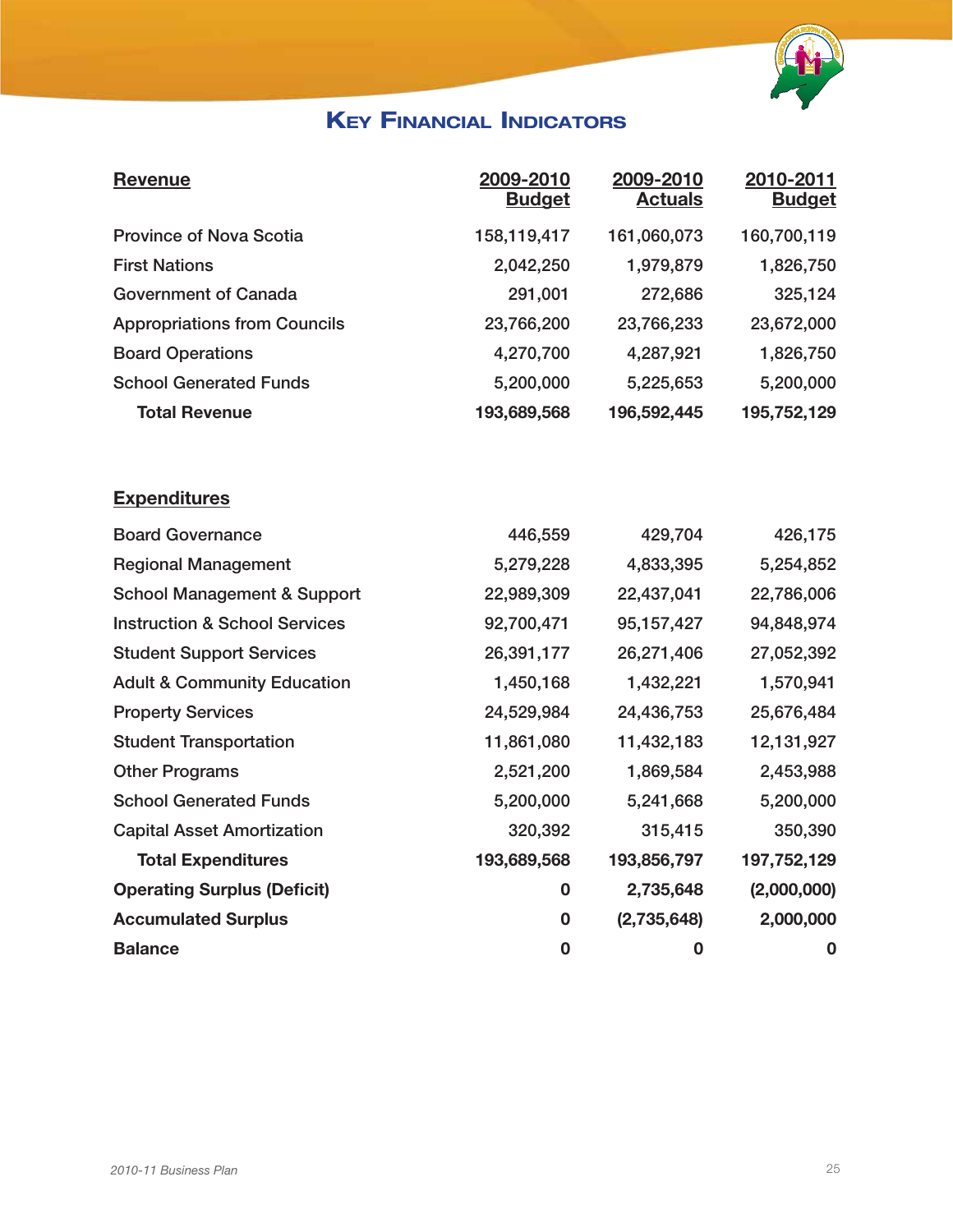

## **KEY FINANCIAL INDICATORS**

| <b>Revenue</b>                           | 2009-2010<br><b>Budget</b> | 2009-2010<br><b>Actuals</b> | 2010-2011<br><b>Budget</b> |
|------------------------------------------|----------------------------|-----------------------------|----------------------------|
| <b>Province of Nova Scotia</b>           | 158,119,417                | 161,060,073                 | 160,700,119                |
| <b>First Nations</b>                     | 2,042,250                  | 1,979,879                   | 1,826,750                  |
| <b>Government of Canada</b>              | 291,001                    | 272,686                     | 325,124                    |
| <b>Appropriations from Councils</b>      | 23,766,200                 | 23,766,233                  | 23,672,000                 |
| <b>Board Operations</b>                  | 4,270,700                  | 4,287,921                   | 1,826,750                  |
| <b>School Generated Funds</b>            | 5,200,000                  | 5,225,653                   | 5,200,000                  |
| <b>Total Revenue</b>                     | 193,689,568                | 196,592,445                 | 195,752,129                |
| <b>Expenditures</b>                      |                            |                             |                            |
| <b>Board Governance</b>                  | 446,559                    | 429,704                     | 426,175                    |
| <b>Regional Management</b>               | 5,279,228                  | 4,833,395                   | 5,254,852                  |
| <b>School Management &amp; Support</b>   | 22,989,309                 | 22,437,041                  | 22,786,006                 |
| <b>Instruction &amp; School Services</b> | 92,700,471                 | 95,157,427                  | 94,848,974                 |
| <b>Student Support Services</b>          | 26,391,177                 | 26,271,406                  | 27,052,392                 |
| <b>Adult &amp; Community Education</b>   | 1,450,168                  | 1,432,221                   | 1,570,941                  |
| <b>Property Services</b>                 | 24,529,984                 | 24,436,753                  | 25,676,484                 |
| <b>Student Transportation</b>            | 11,861,080                 | 11,432,183                  | 12,131,927                 |
| <b>Other Programs</b>                    | 2,521,200                  | 1,869,584                   | 2,453,988                  |
| <b>School Generated Funds</b>            | 5,200,000                  | 5,241,668                   | 5,200,000                  |
| <b>Capital Asset Amortization</b>        | 320,392                    | 315,415                     | 350,390                    |
| <b>Total Expenditures</b>                | 193,689,568                | 193,856,797                 | 197,752,129                |
| <b>Operating Surplus (Deficit)</b>       | $\mathbf 0$                | 2,735,648                   | (2,000,000)                |
| <b>Accumulated Surplus</b>               | 0                          | (2,735,648)                 | 2,000,000                  |
| <b>Balance</b>                           | $\bf{0}$                   | $\bf{0}$                    | 0                          |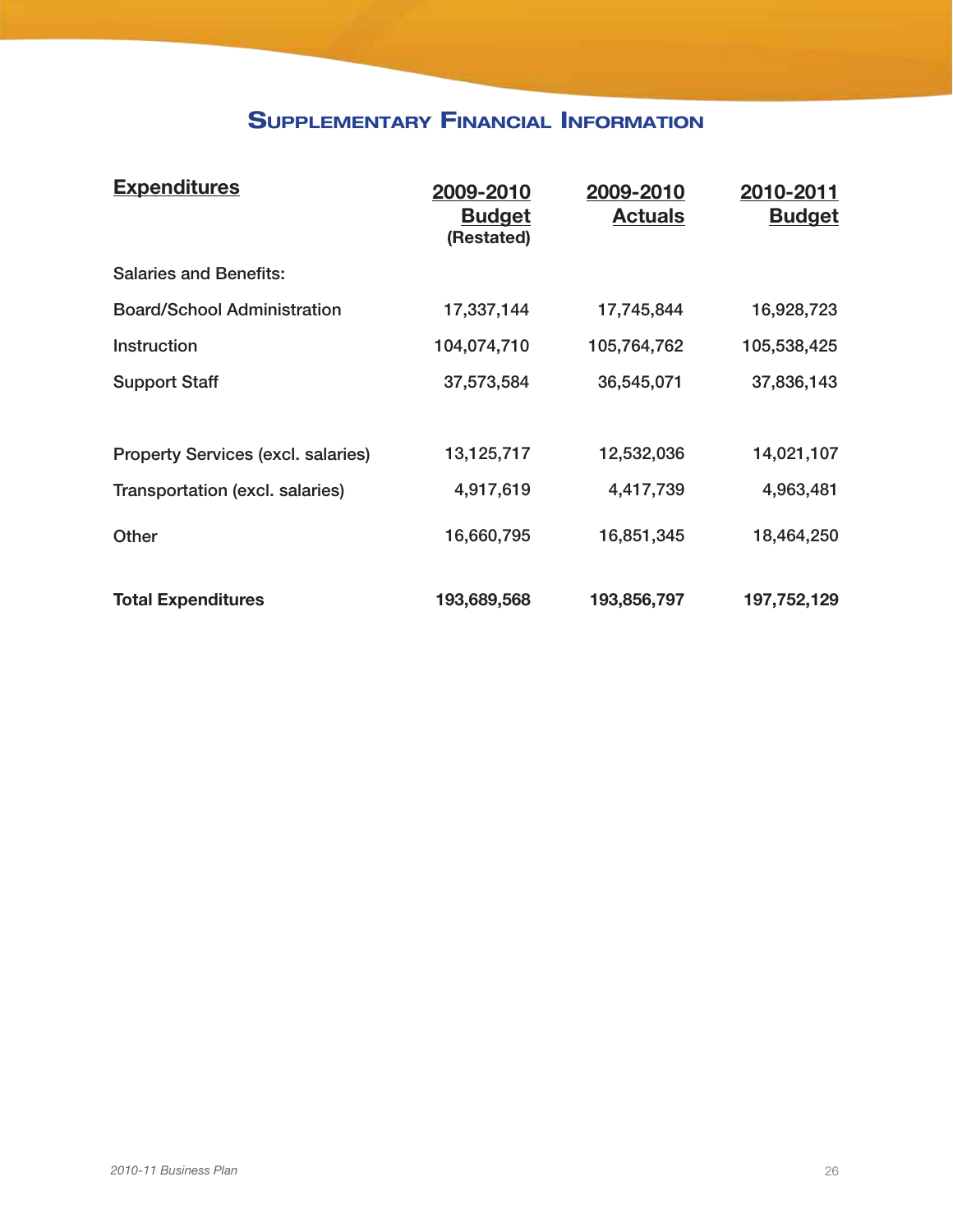### Supplementary Financial Information

| <b>Expenditures</b>                       | 2009-2010<br><b>Budget</b><br>(Restated) | 2009-2010<br><b>Actuals</b> | 2010-2011<br><b>Budget</b> |
|-------------------------------------------|------------------------------------------|-----------------------------|----------------------------|
| <b>Salaries and Benefits:</b>             |                                          |                             |                            |
| <b>Board/School Administration</b>        | 17,337,144                               | 17,745,844                  | 16,928,723                 |
| <b>Instruction</b>                        | 104,074,710                              | 105,764,762                 | 105,538,425                |
| <b>Support Staff</b>                      | 37,573,584                               | 36,545,071                  | 37,836,143                 |
|                                           |                                          |                             |                            |
| <b>Property Services (excl. salaries)</b> | 13,125,717                               | 12,532,036                  | 14,021,107                 |
| Transportation (excl. salaries)           | 4,917,619                                | 4,417,739                   | 4,963,481                  |
| Other                                     | 16,660,795                               | 16,851,345                  | 18,464,250                 |
| <b>Total Expenditures</b>                 | 193,689,568                              | 193,856,797                 | 197,752,129                |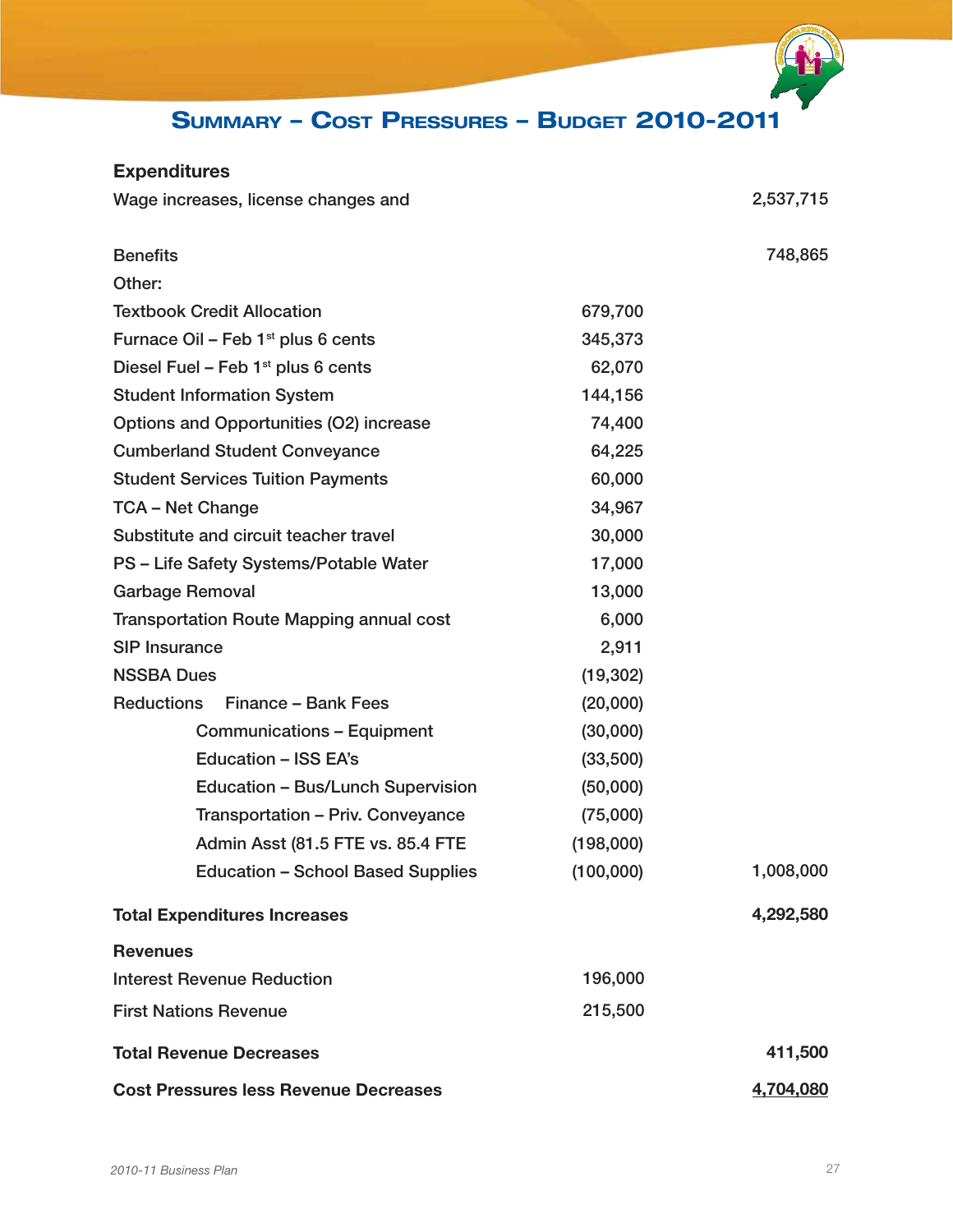### Summary – Cost Pressures – Budget 2010-2011

### Expenditures

| Wage increases, license changes and             |           | 2,537,715 |
|-------------------------------------------------|-----------|-----------|
| <b>Benefits</b>                                 |           | 748,865   |
| Other:                                          |           |           |
| <b>Textbook Credit Allocation</b>               | 679,700   |           |
| Furnace Oil - Feb 1 <sup>st</sup> plus 6 cents  | 345,373   |           |
| Diesel Fuel – Feb $1st$ plus 6 cents            | 62,070    |           |
| <b>Student Information System</b>               | 144,156   |           |
| Options and Opportunities (O2) increase         | 74,400    |           |
| <b>Cumberland Student Conveyance</b>            | 64,225    |           |
| <b>Student Services Tuition Payments</b>        | 60,000    |           |
| <b>TCA - Net Change</b>                         | 34,967    |           |
| Substitute and circuit teacher travel           | 30,000    |           |
| PS - Life Safety Systems/Potable Water          | 17,000    |           |
| <b>Garbage Removal</b>                          | 13,000    |           |
| <b>Transportation Route Mapping annual cost</b> | 6,000     |           |
| <b>SIP Insurance</b>                            | 2,911     |           |
| <b>NSSBA Dues</b>                               | (19, 302) |           |
| <b>Reductions</b><br>Finance - Bank Fees        | (20,000)  |           |
| <b>Communications - Equipment</b>               | (30,000)  |           |
| <b>Education - ISS EA's</b>                     | (33,500)  |           |
| Education - Bus/Lunch Supervision               | (50,000)  |           |
| Transportation - Priv. Conveyance               | (75,000)  |           |
| Admin Asst (81.5 FTE vs. 85.4 FTE               | (198,000) |           |
| <b>Education - School Based Supplies</b>        | (100,000) | 1,008,000 |
| <b>Total Expenditures Increases</b>             |           | 4,292,580 |
| <b>Revenues</b>                                 |           |           |
| <b>Interest Revenue Reduction</b>               | 196,000   |           |
| <b>First Nations Revenue</b>                    | 215,500   |           |
| <b>Total Revenue Decreases</b>                  |           | 411,500   |
| <b>Cost Pressures less Revenue Decreases</b>    | 4,704,080 |           |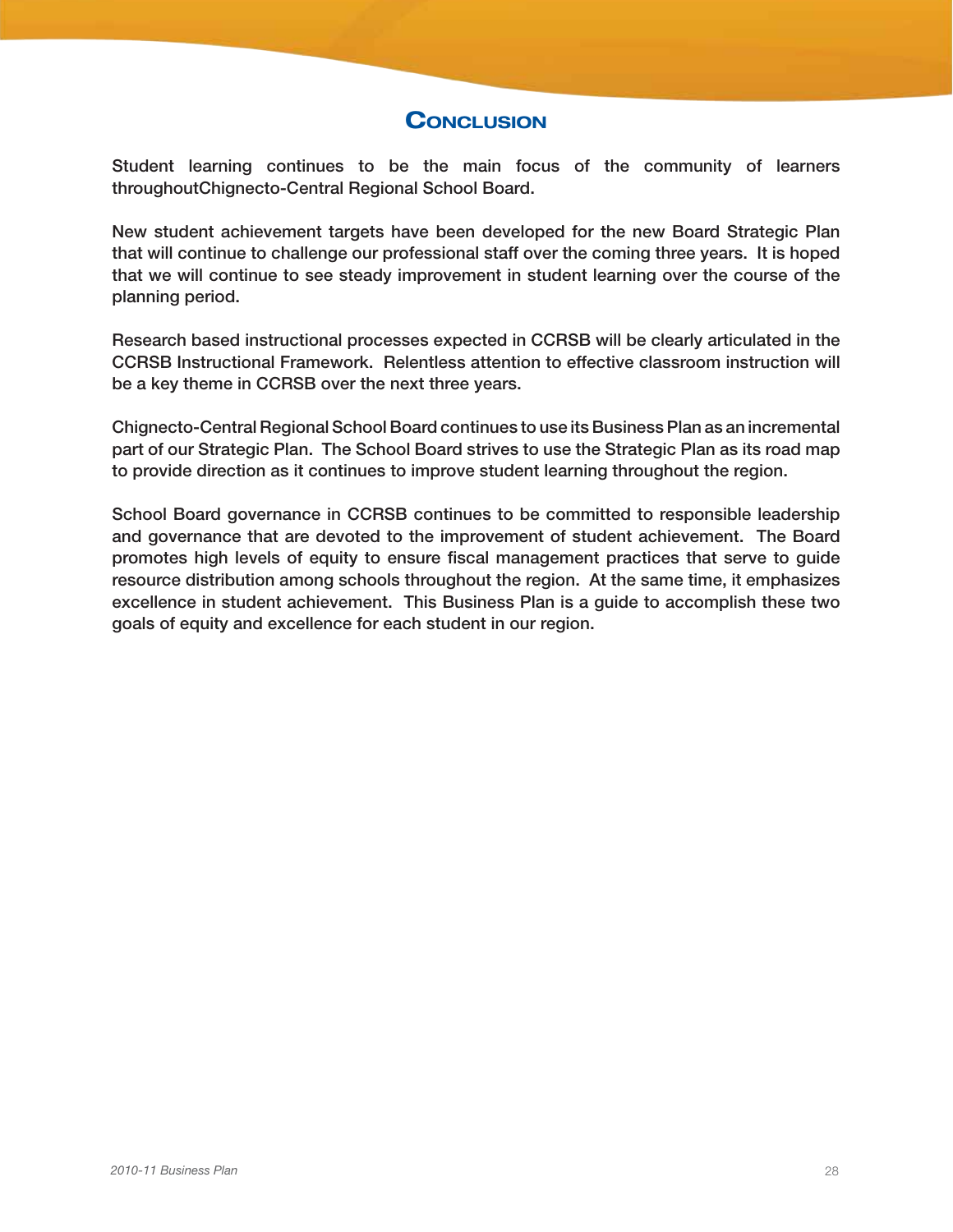### **CONCLUSION**

Student learning continues to be the main focus of the community of learners throughoutChignecto-Central Regional School Board.

New student achievement targets have been developed for the new Board Strategic Plan that will continue to challenge our professional staff over the coming three years. It is hoped that we will continue to see steady improvement in student learning over the course of the planning period.

Research based instructional processes expected in CCRSB will be clearly articulated in the CCRSB Instructional Framework. Relentless attention to effective classroom instruction will be a key theme in CCRSB over the next three years.

Chignecto-Central Regional School Board continues to use its Business Plan as an incremental part of our Strategic Plan. The School Board strives to use the Strategic Plan as its road map to provide direction as it continues to improve student learning throughout the region.

School Board governance in CCRSB continues to be committed to responsible leadership and governance that are devoted to the improvement of student achievement. The Board promotes high levels of equity to ensure fiscal management practices that serve to guide resource distribution among schools throughout the region. At the same time, it emphasizes excellence in student achievement. This Business Plan is a guide to accomplish these two goals of equity and excellence for each student in our region.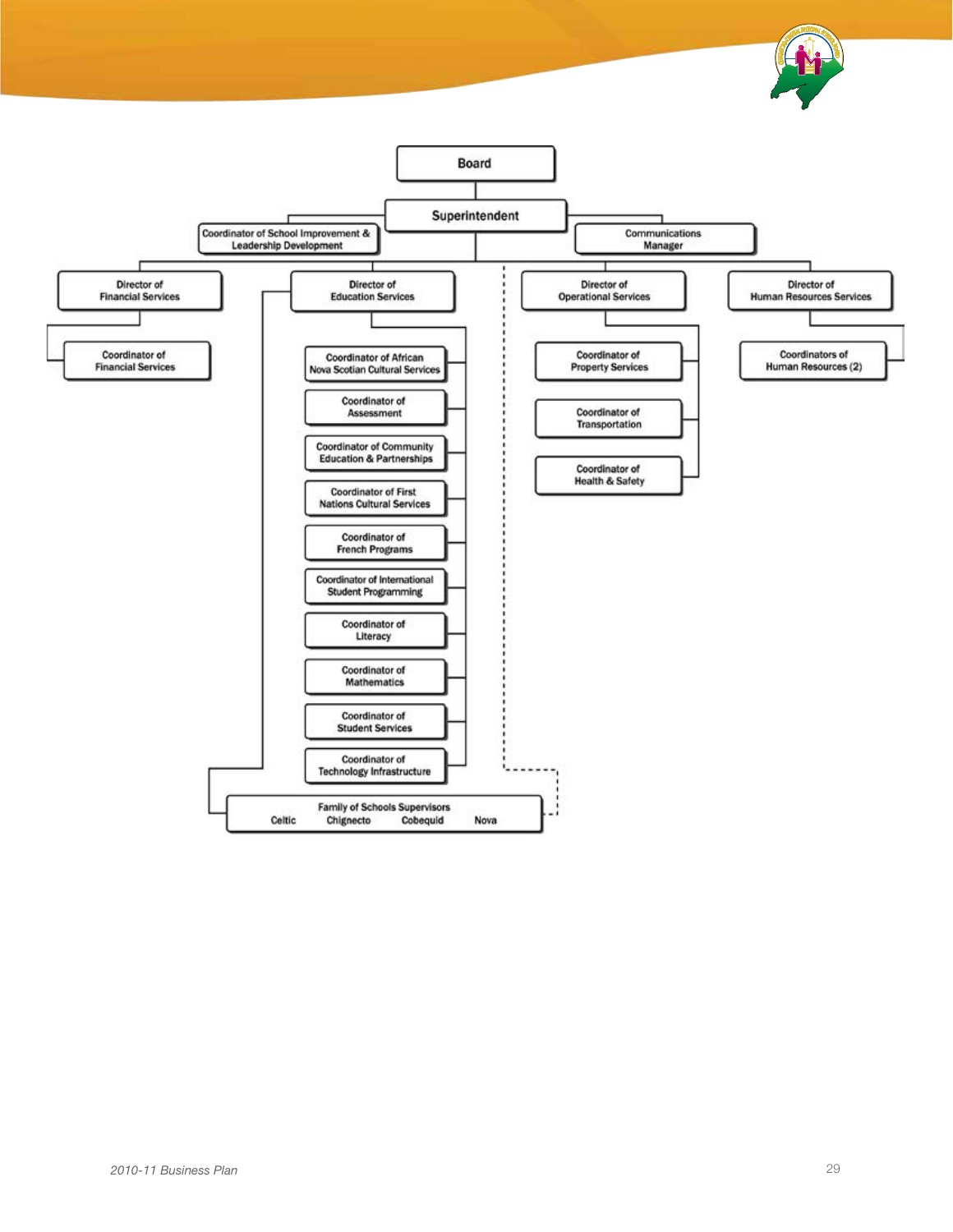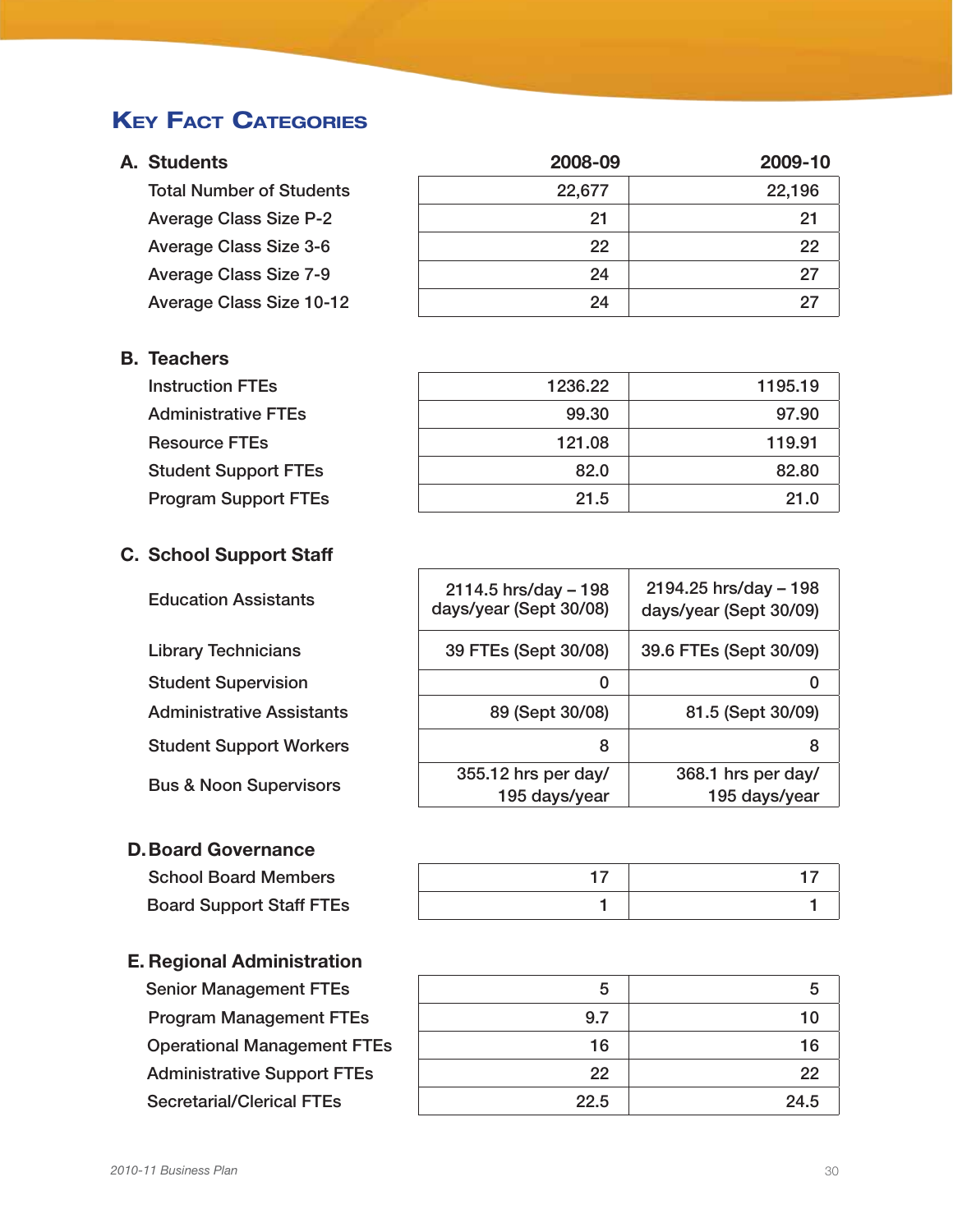### **KEY FACT CATEGORIES**

### A. Students

**Total Number of Students** Average Class Size P-2 Average Class Size 3-6 Average Class Size 7-9 Average Class Size 10-12

### B. Teachers

**Instruction FTEs** Administrative FTEs **Resource FTEs** Student Support FTEs Program Support FTEs

### C. School Support Staff

**Education Assistants** 

Library Technicians Student Supervision Administrative Assistants **Student Support Workers** Bus & Noon Supervisors

### D.Board Governance

**School Board Members Board Support Staff FTEs** 

### E. Regional Administration

Senior Management FTEs Program Management FTEs **Operational Management FTEs Administrative Support FTEs** Secretarial/Clerical FTEs

| 2008-09 | 2009-10 |
|---------|---------|
| 22,677  | 22,196  |
| 21      | 21      |
| 22      | 22      |
| 24      | 27      |
| 24      | 27      |

| 1236.22 | 1195.19 |
|---------|---------|
| 99.30   | 97.90   |
| 121.08  | 119.91  |
| 82.0    | 82.80   |
| 21.5    | 21.0    |

| $2114.5$ hrs/day - 198<br>days/year (Sept 30/08) | 2194.25 hrs/day - 198<br>days/year (Sept 30/09) |
|--------------------------------------------------|-------------------------------------------------|
| 39 FTEs (Sept 30/08)                             | 39.6 FTEs (Sept 30/09)                          |
|                                                  |                                                 |
| 89 (Sept 30/08)                                  | 81.5 (Sept 30/09)                               |
| 8                                                | 8                                               |
| 355.12 hrs per day/                              | 368.1 hrs per day/                              |
| 195 days/year                                    | 195 days/year                                   |
|                                                  |                                                 |

| 5    | 5    |
|------|------|
| 9.7  | 10   |
| 16   | 16   |
| 22   | 22   |
| 22.5 | 24.5 |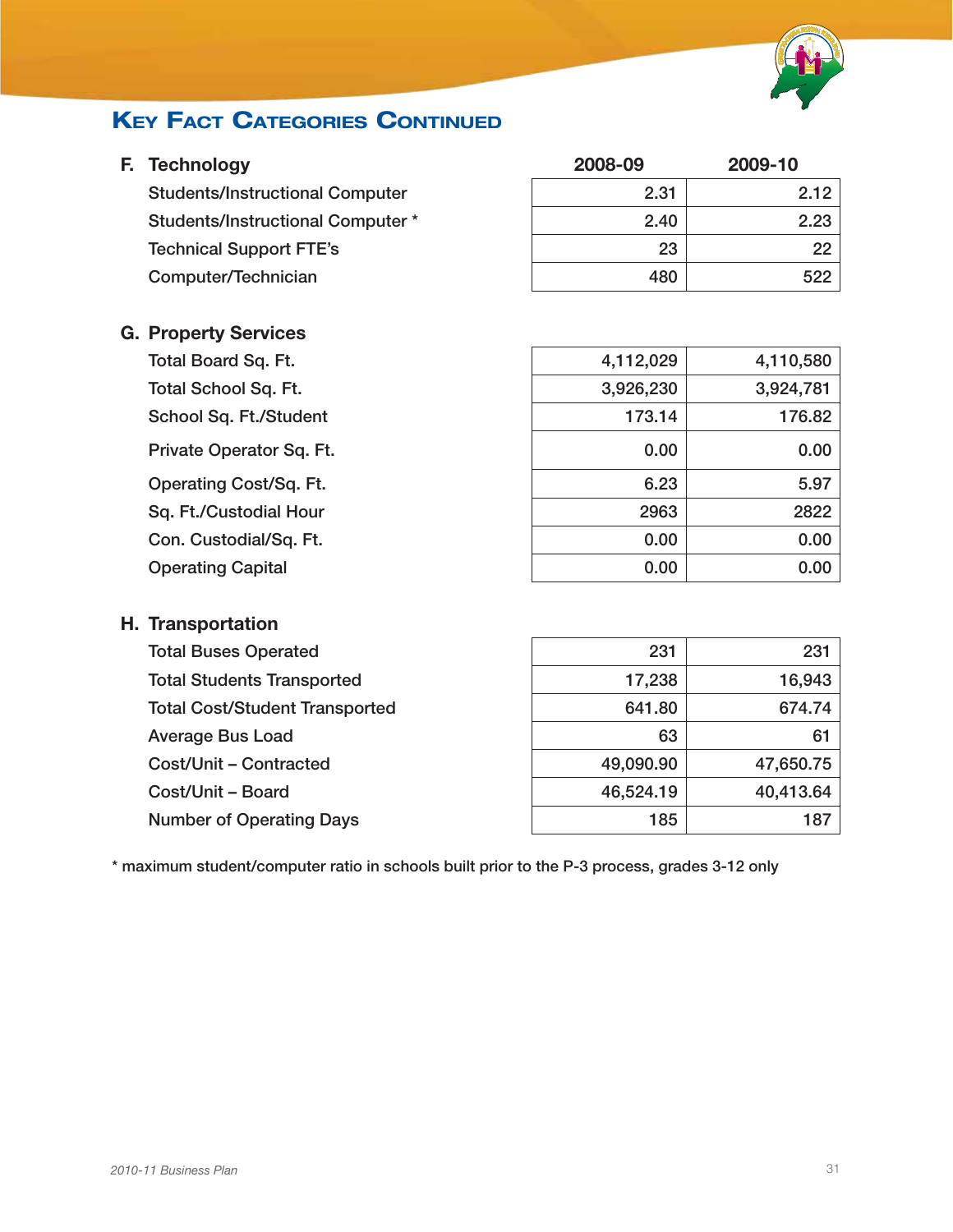

### **KEY FACT CATEGORIES CONTINUED**

| F. | <b>Technology</b>                       | 2008-09   | 2009-10   |  |
|----|-----------------------------------------|-----------|-----------|--|
|    | <b>Students/Instructional Computer</b>  | 2.31      | 2.12      |  |
|    | <b>Students/Instructional Computer*</b> | 2.40      | 2.23      |  |
|    | <b>Technical Support FTE's</b>          | 23        | 22        |  |
|    | Computer/Technician                     | 480       | 522       |  |
|    | <b>G. Property Services</b>             |           |           |  |
|    | Total Board Sq. Ft.                     | 4,112,029 | 4,110,580 |  |
|    | <b>Total School Sq. Ft.</b>             | 3,926,230 | 3,924,781 |  |
|    | School Sq. Ft./Student                  | 173.14    | 176.82    |  |
|    | Private Operator Sq. Ft.                | 0.00      | 0.00      |  |
|    | Operating Cost/Sq. Ft.                  | 6.23      | 5.97      |  |
|    | Sq. Ft./Custodial Hour                  | 2963      | 2822      |  |
|    | Con. Custodial/Sq. Ft.                  | 0.00      | 0.00      |  |
|    | <b>Operating Capital</b>                | 0.00      | 0.00      |  |
|    | H. Transportation                       |           |           |  |
|    | <b>Total Buses Operated</b>             | 231       | 231       |  |
|    | <b>Total Students Transported</b>       | 17,238    | 16,943    |  |
|    | <b>Total Cost/Student Transported</b>   | 641.80    | 674.74    |  |
|    | <b>Average Bus Load</b>                 | 63        | 61        |  |
|    | Cost/Unit - Contracted                  | 49,090.90 | 47,650.75 |  |
|    | Cost/Unit - Board                       | 46,524.19 | 40,413.64 |  |
|    | <b>Number of Operating Days</b>         | 185       | 187       |  |

\* maximum student/computer ratio in schools built prior to the P-3 process, grades 3-12 only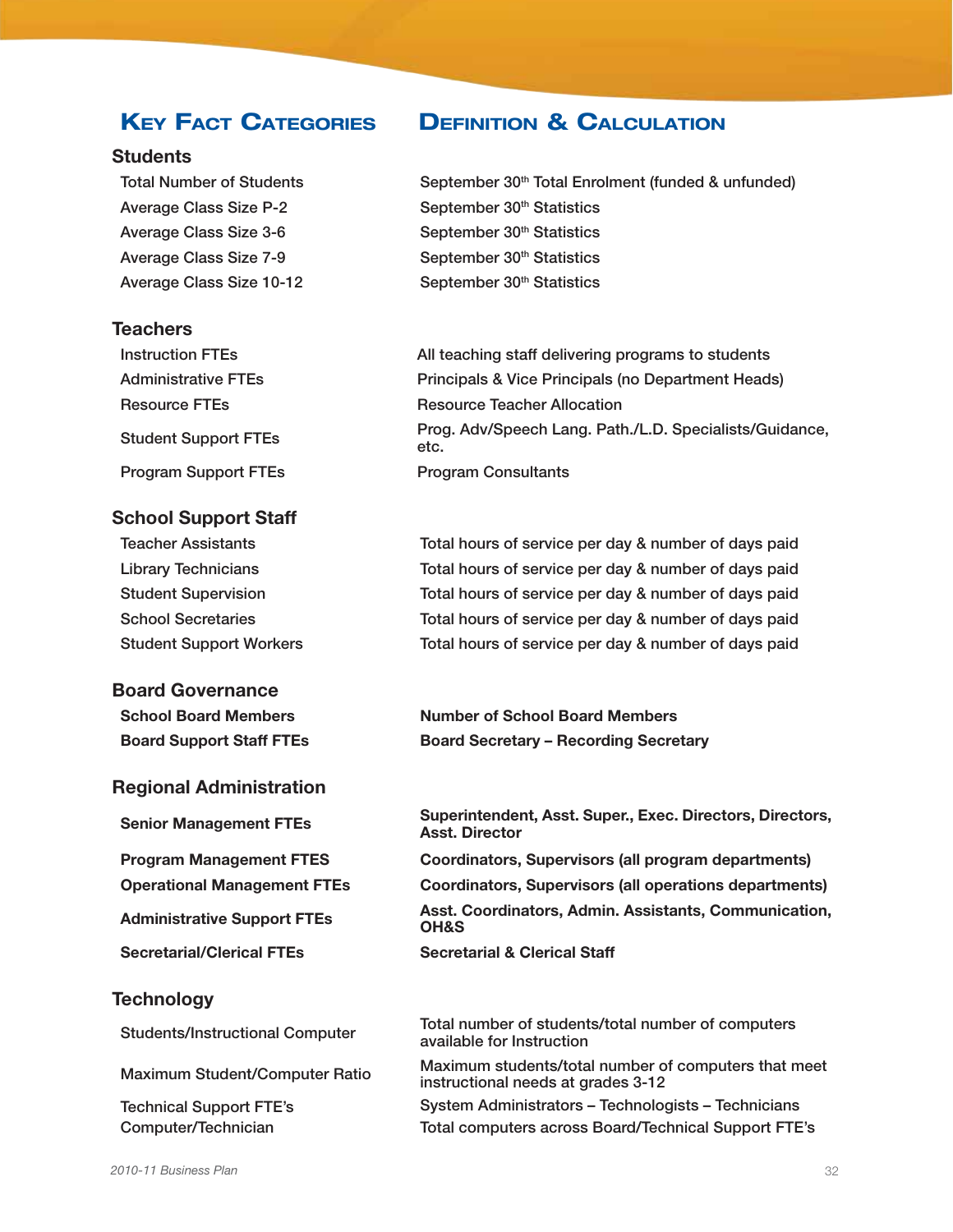#### **Students**

Average Class Size P-2 September 30<sup>th</sup> Statistics Average Class Size 3-6 September 30<sup>th</sup> Statistics Average Class Size 7-9 September 30<sup>th</sup> Statistics Average Class Size 10-12 September 30<sup>th</sup> Statistics

#### **Teachers**

Program Support FTEs Program Consultants

#### School Support Staff

#### Board Governance

#### Regional Administration

#### **Technology**

### Key Fact Categories Definition & Calculation

Total Number of Students September 30<sup>th</sup> Total Enrolment (funded & unfunded)

Instruction FTEs All teaching staff delivering programs to students Administrative FTEs **Principals & Vice Principals (no Department Heads)** Resource FTEs Resource Teacher Allocation Student Support FTEs Prog. Adv/Speech Lang. Path./L.D. Specialists/Guidance, etc.

Teacher Assistants Total hours of service per day & number of days paid Library Technicians Total hours of service per day & number of days paid Student Supervision Total hours of service per day & number of days paid School Secretaries Total hours of service per day & number of days paid Student Support Workers Total hours of service per day & number of days paid

School Board Members Number of School Board Members Board Support Staff FTEs Board Secretary – Recording Secretary

Superintendent, Asst. Super., Exec. Directors, Directors, Senior Management FTEs Asst. Director

Program Management FTES Coordinators, Supervisors (all program departments) Operational Management FTEs Coordinators, Supervisors (all operations departments) Asst. Coordinators, Admin. Assistants, Communication, Administrative Support FTEs OH&S

Secretarial/Clerical FTEs Secretarial & Clerical Staff

Students/Instructional Computer Total number of students/total number of computers available for Instruction

Maximum student/Computer Ratio Maximum students/total number of computers that meet instructional needs at grades 3-12

Technical Support FTE's System Administrators – Technologists – Technicians Computer/Technician Total computers across Board/Technical Support FTE's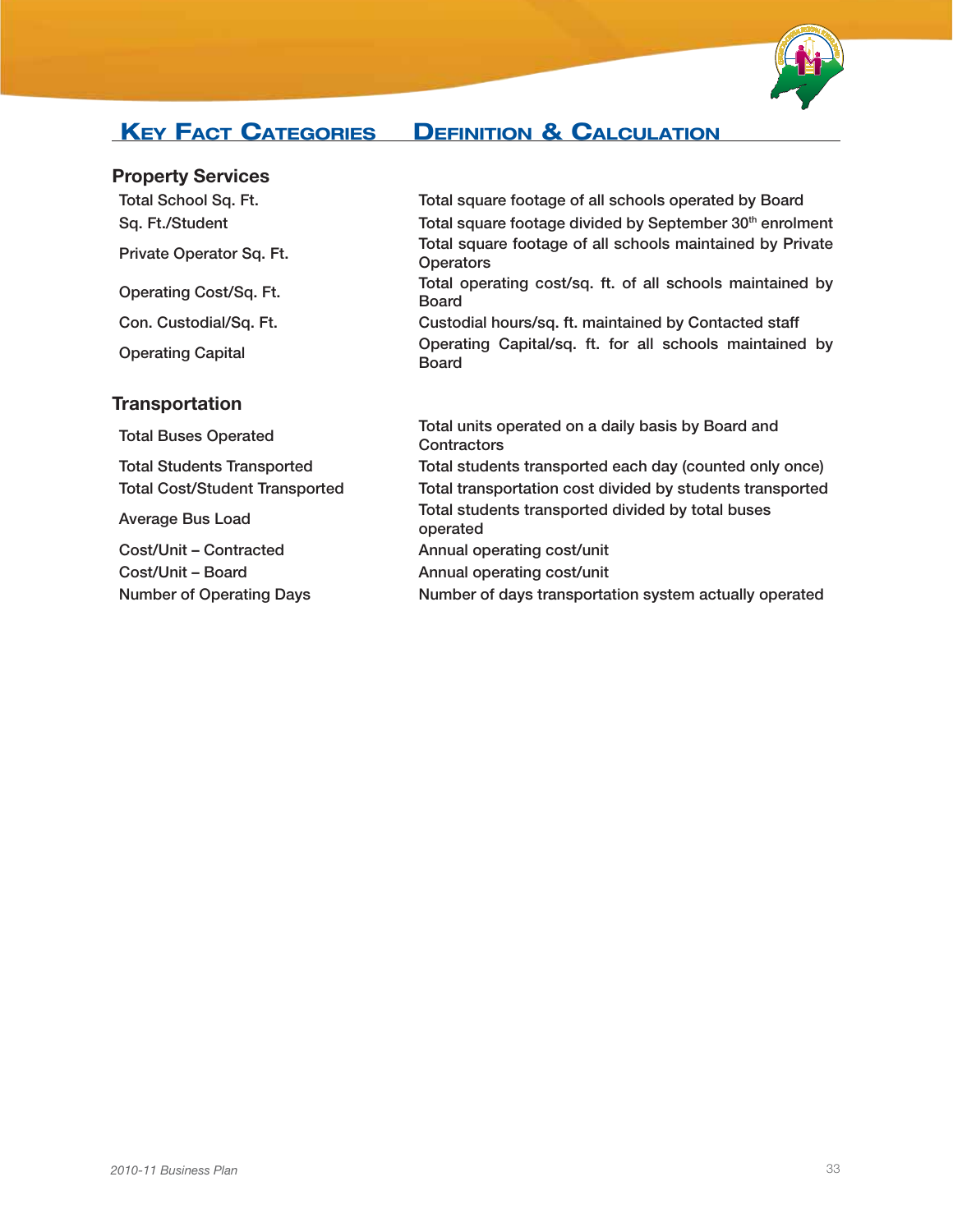

### Key Fact Categories Definition & Calculation

### Property Services

### **Transportation**

Total School Sq. Ft. Total square footage of all schools operated by Board Sq. Ft./Student Total square footage divided by September 30<sup>th</sup> enrolment Private Operator Sq. Ft. Total square footage of all schools maintained by Private **Operators** Operating Cost/Sq. Ft. Total operating cost/sq. ft. of all schools maintained by Board Con. Custodial/Sq. Ft. Custodial hours/sq. ft. maintained by Contacted staff Operating Capital Operating Capital/sq. ft. for all schools maintained by Board

Total Buses Operated Total units operated on a daily basis by Board and<br>Contractors **Contractors** Total Students Transported Total students transported each day (counted only once) Total Cost/Student Transported Total transportation cost divided by students transported Average Bus Load Total students transported divided by total buses<br>
anarcted operated Cost/Unit – Contracted Annual operating cost/unit Cost/Unit – Board Annual operating cost/unit Number of Operating Days Number of days transportation system actually operated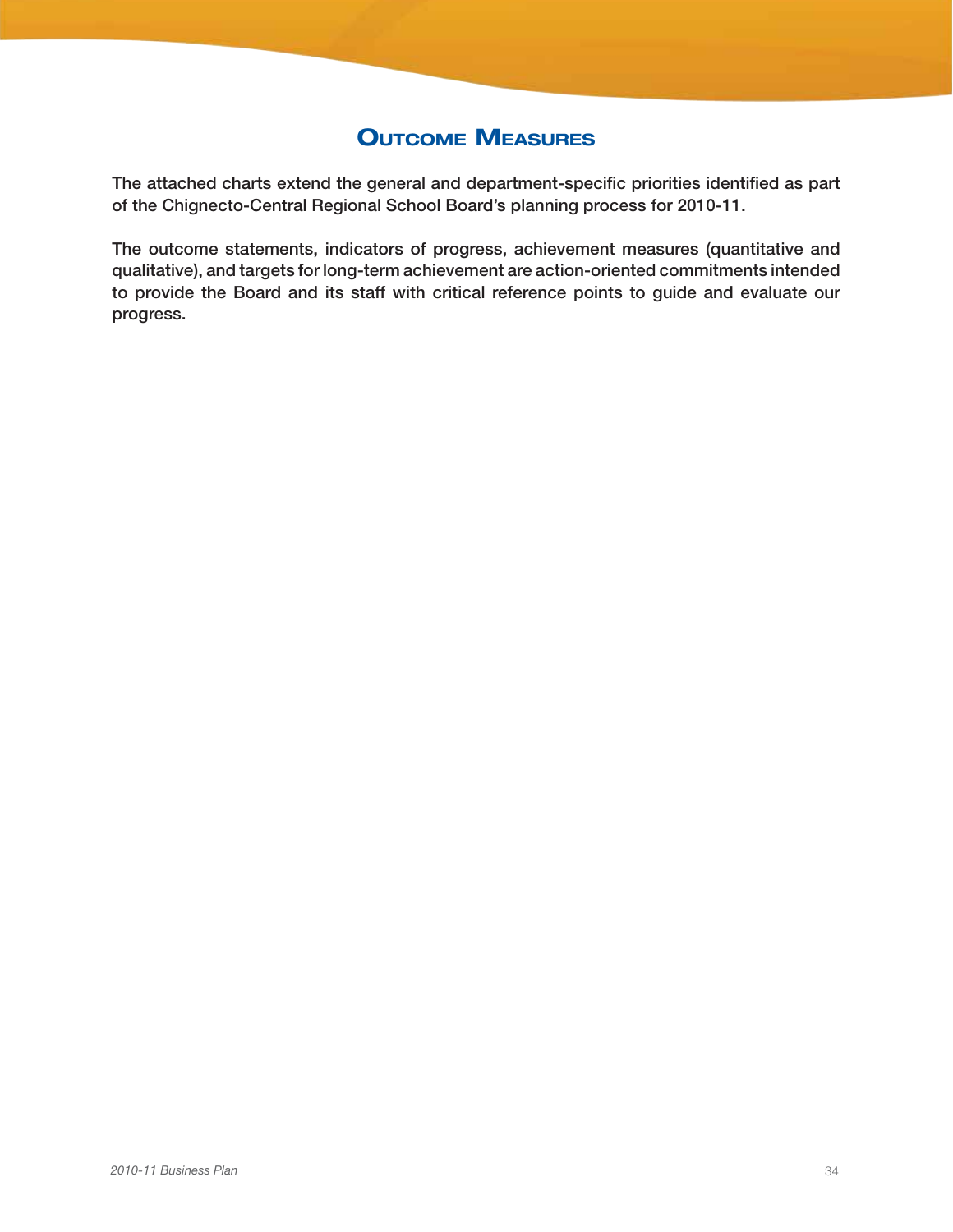### **OUTCOME MEASURES**

The attached charts extend the general and department-specific priorities identified as part of the Chignecto-Central Regional School Board's planning process for 2010-11.

The outcome statements, indicators of progress, achievement measures (quantitative and qualitative), and targets for long-term achievement are action-oriented commitments intended to provide the Board and its staff with critical reference points to guide and evaluate our progress.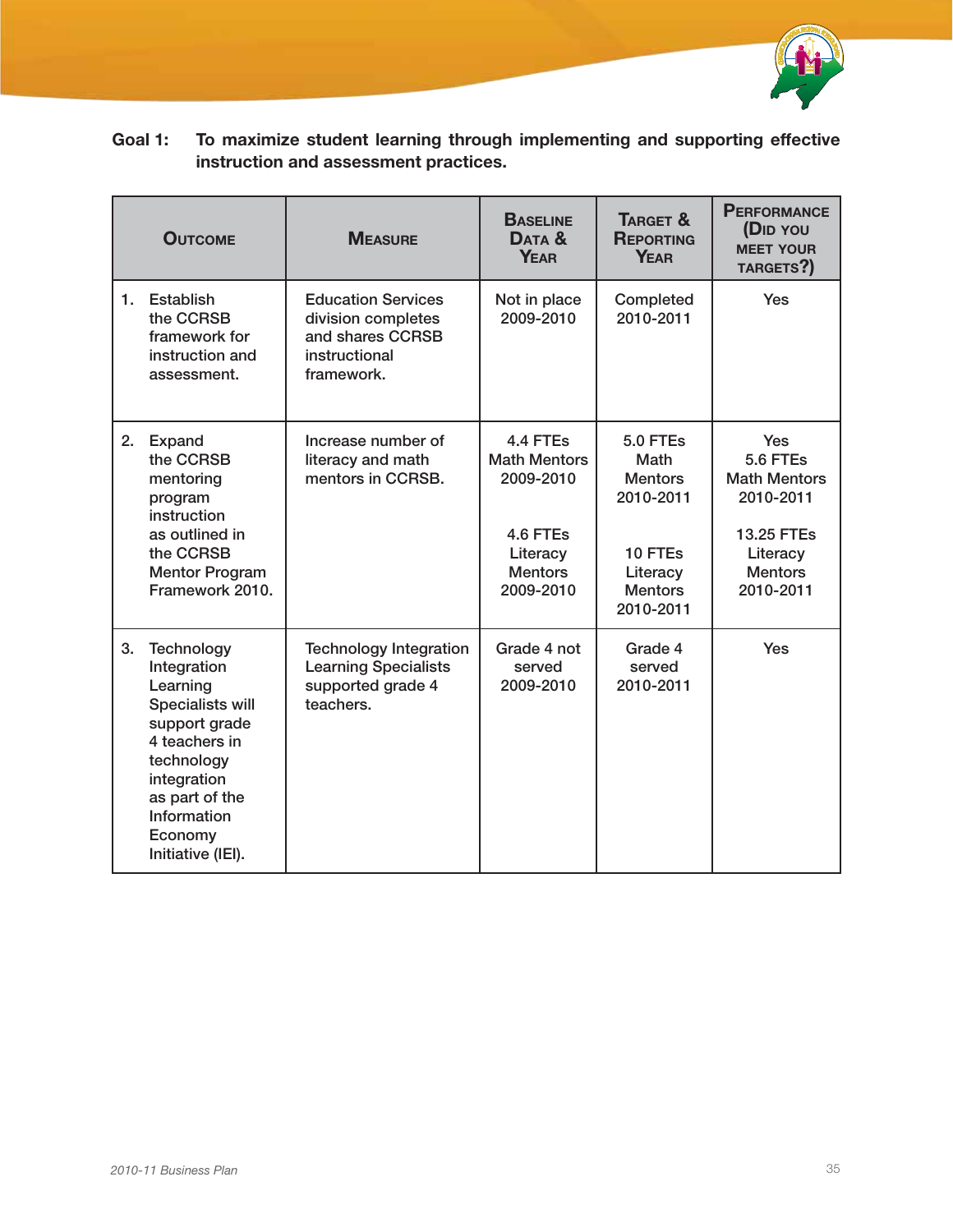

| Goal 1: | To maximize student learning through implementing and supporting effective |
|---------|----------------------------------------------------------------------------|
|         | instruction and assessment practices.                                      |

|    | <b>OUTCOME</b>                                                                                                                                                                                   | <b>MEASURE</b>                                                                                     | <b>BASELINE</b><br>DATA &<br><b>YEAR</b>                                                            | TARGET &<br><b>REPORTING</b><br><b>YEAR</b>                                                                  | <b>PERFORMANCE</b><br>(DID YOU<br><b>MEET YOUR</b><br>TARGETS?)                                                     |
|----|--------------------------------------------------------------------------------------------------------------------------------------------------------------------------------------------------|----------------------------------------------------------------------------------------------------|-----------------------------------------------------------------------------------------------------|--------------------------------------------------------------------------------------------------------------|---------------------------------------------------------------------------------------------------------------------|
| 1. | Establish<br>the CCRSB<br>framework for<br>instruction and<br>assessment.                                                                                                                        | <b>Education Services</b><br>division completes<br>and shares CCRSB<br>instructional<br>framework. | Not in place<br>2009-2010                                                                           | Completed<br>2010-2011                                                                                       | Yes                                                                                                                 |
| 2. | Expand<br>the CCRSB<br>mentoring<br>program<br>instruction<br>as outlined in<br>the CCRSB<br><b>Mentor Program</b><br>Framework 2010.                                                            | Increase number of<br>literacy and math<br>mentors in CCRSB.                                       | 4.4 FTEs<br><b>Math Mentors</b><br>2009-2010<br>4.6 FTEs<br>Literacy<br><b>Mentors</b><br>2009-2010 | <b>5.0 FTEs</b><br>Math<br><b>Mentors</b><br>2010-2011<br>10 FTEs<br>Literacy<br><b>Mentors</b><br>2010-2011 | <b>Yes</b><br>5.6 FTEs<br><b>Math Mentors</b><br>2010-2011<br>13.25 FTEs<br>Literacy<br><b>Mentors</b><br>2010-2011 |
| 3. | Technology<br>Integration<br>Learning<br><b>Specialists will</b><br>support grade<br>4 teachers in<br>technology<br>integration<br>as part of the<br>Information<br>Economy<br>Initiative (IEI). | <b>Technology Integration</b><br><b>Learning Specialists</b><br>supported grade 4<br>teachers.     | Grade 4 not<br>served<br>2009-2010                                                                  | Grade 4<br>served<br>2010-2011                                                                               | <b>Yes</b>                                                                                                          |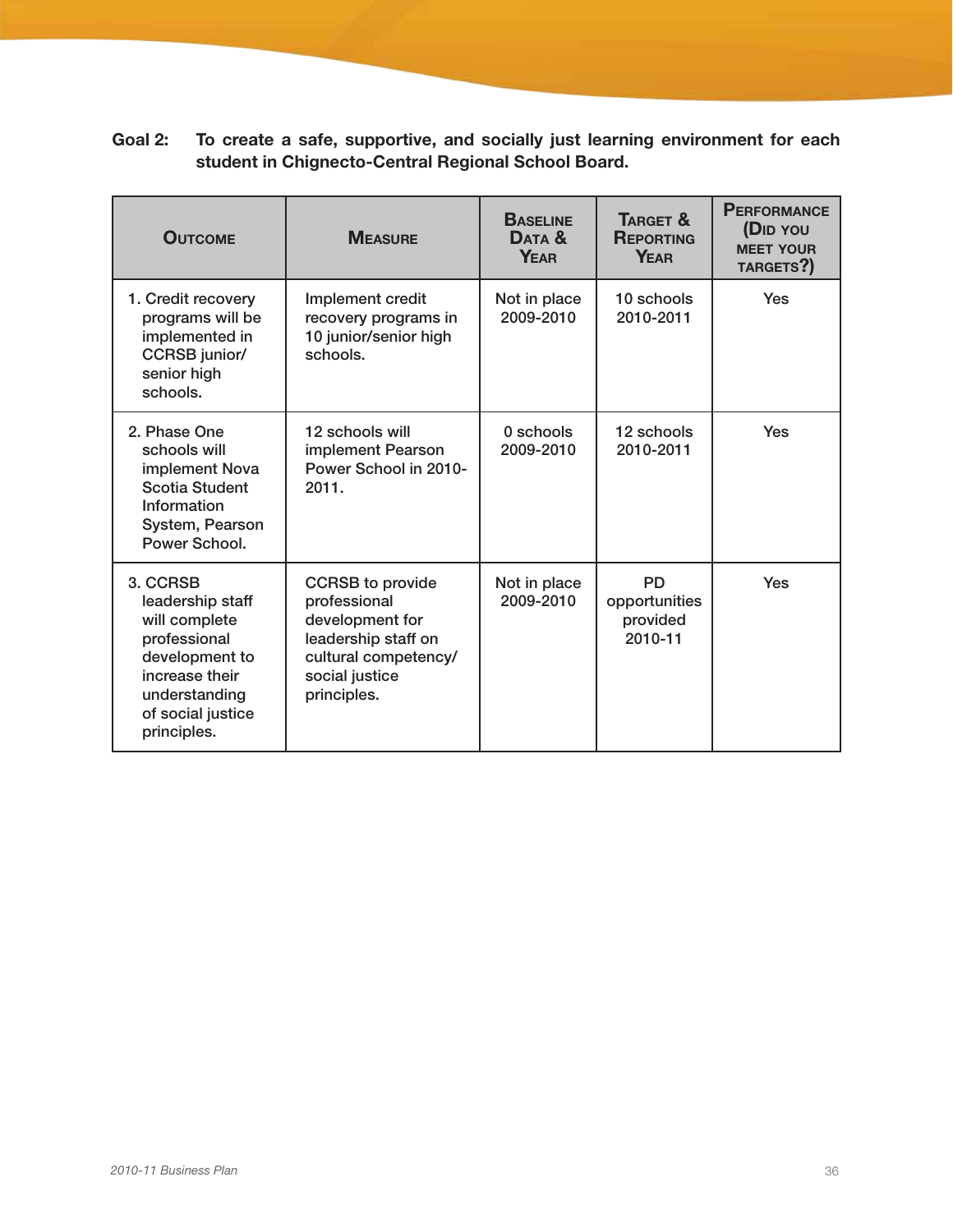| Goal 2: | To create a safe, supportive, and socially just learning environment for each |  |  |  |  |  |
|---------|-------------------------------------------------------------------------------|--|--|--|--|--|
|         | student in Chignecto-Central Regional School Board.                           |  |  |  |  |  |

| <b>OUTCOME</b>                                                                                                                                         | <b>MEASURE</b>                                                                                                                             | <b>BASELINE</b><br>DATA &<br><b>YFAR</b> | TARGET &<br><b>REPORTING</b><br><b>YEAR</b>       | <b>PERFORMANCE</b><br>(D <sub>ID</sub> YOU<br><b>MEET YOUR</b><br>TARGETS?) |
|--------------------------------------------------------------------------------------------------------------------------------------------------------|--------------------------------------------------------------------------------------------------------------------------------------------|------------------------------------------|---------------------------------------------------|-----------------------------------------------------------------------------|
| 1. Credit recovery<br>programs will be<br>implemented in<br><b>CCRSB</b> junior/<br>senior high<br>schools.                                            | Implement credit<br>recovery programs in<br>10 junior/senior high<br>schools.                                                              | Not in place<br>2009-2010                | 10 schools<br>2010-2011                           | Yes                                                                         |
| 2. Phase One<br>schools will<br>implement Nova<br><b>Scotia Student</b><br>Information<br>System, Pearson<br>Power School.                             | 12 schools will<br>implement Pearson<br>Power School in 2010-<br>2011.                                                                     | 0 schools<br>2009-2010                   | 12 schools<br>2010-2011                           | Yes                                                                         |
| 3. CCRSB<br>leadership staff<br>will complete<br>professional<br>development to<br>increase their<br>understanding<br>of social justice<br>principles. | <b>CCRSB</b> to provide<br>professional<br>development for<br>leadership staff on<br>cultural competency/<br>social justice<br>principles. | Not in place<br>2009-2010                | <b>PD</b><br>opportunities<br>provided<br>2010-11 | Yes                                                                         |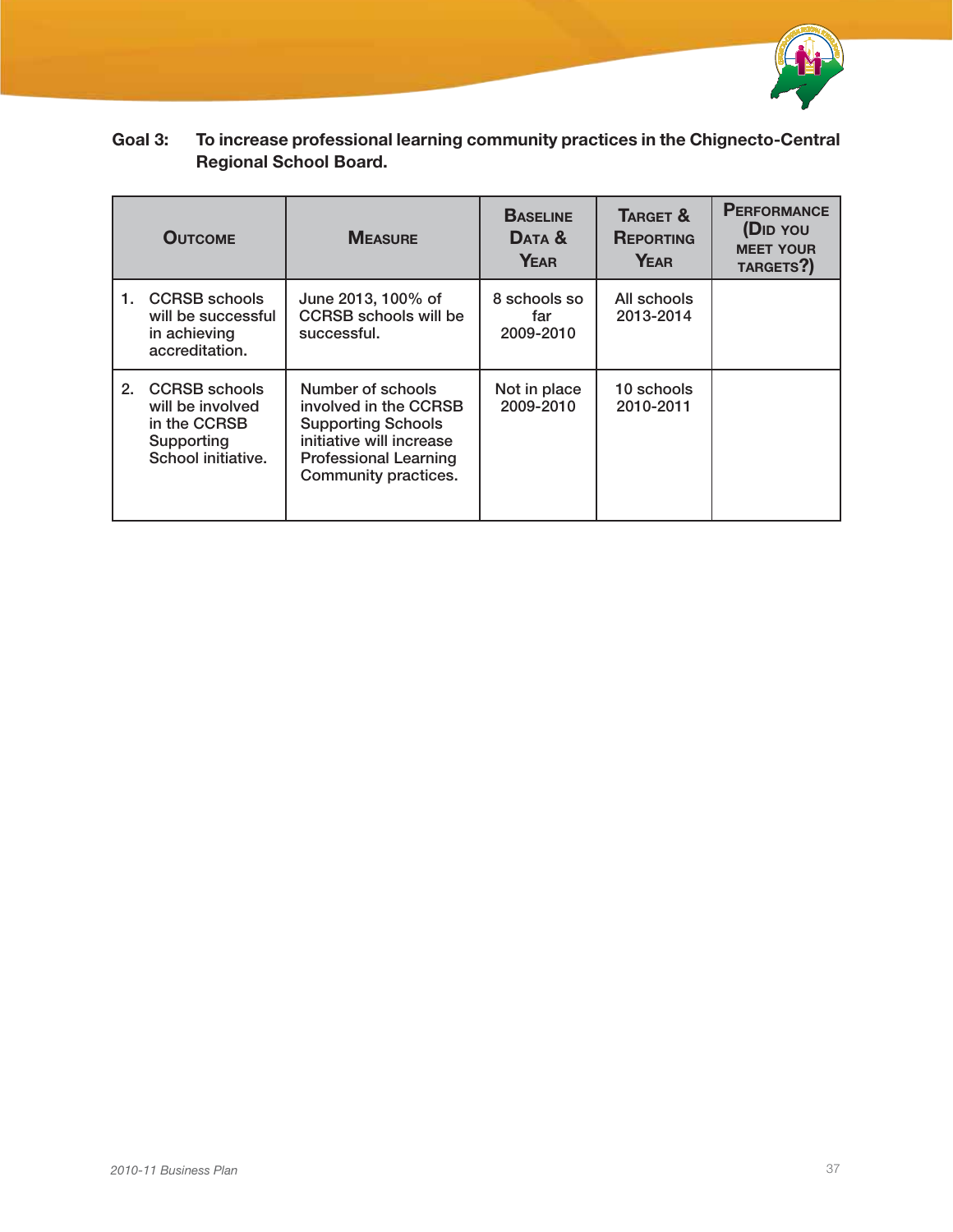

| <b>OUTCOME</b> |                                                                                              | <b>MEASURE</b>                                                                                                                                       | <b>BASELINE</b><br>DATA &<br><b>YEAR</b> | TARGET &<br><b>REPORTING</b><br>YEAR | <b>PERFORMANCE</b><br>(D <sub>ID</sub> YOU<br><b>MEET YOUR</b><br>TARGETS?) |  |  |  |
|----------------|----------------------------------------------------------------------------------------------|------------------------------------------------------------------------------------------------------------------------------------------------------|------------------------------------------|--------------------------------------|-----------------------------------------------------------------------------|--|--|--|
| 1.             | <b>CCRSB</b> schools<br>will be successful<br>in achieving<br>accreditation.                 | June 2013, 100% of<br><b>CCRSB</b> schools will be<br>successful.                                                                                    | 8 schools so<br>far<br>2009-2010         | All schools<br>2013-2014             |                                                                             |  |  |  |
| 2.             | <b>CCRSB</b> schools<br>will be involved<br>in the CCRSB<br>Supporting<br>School initiative. | Number of schools<br>involved in the CCRSB<br><b>Supporting Schools</b><br>initiative will increase<br>Professional Learning<br>Community practices. | Not in place<br>2009-2010                | 10 schools<br>2010-2011              |                                                                             |  |  |  |

### Goal 3: To increase professional learning community practices in the Chignecto-Central Regional School Board.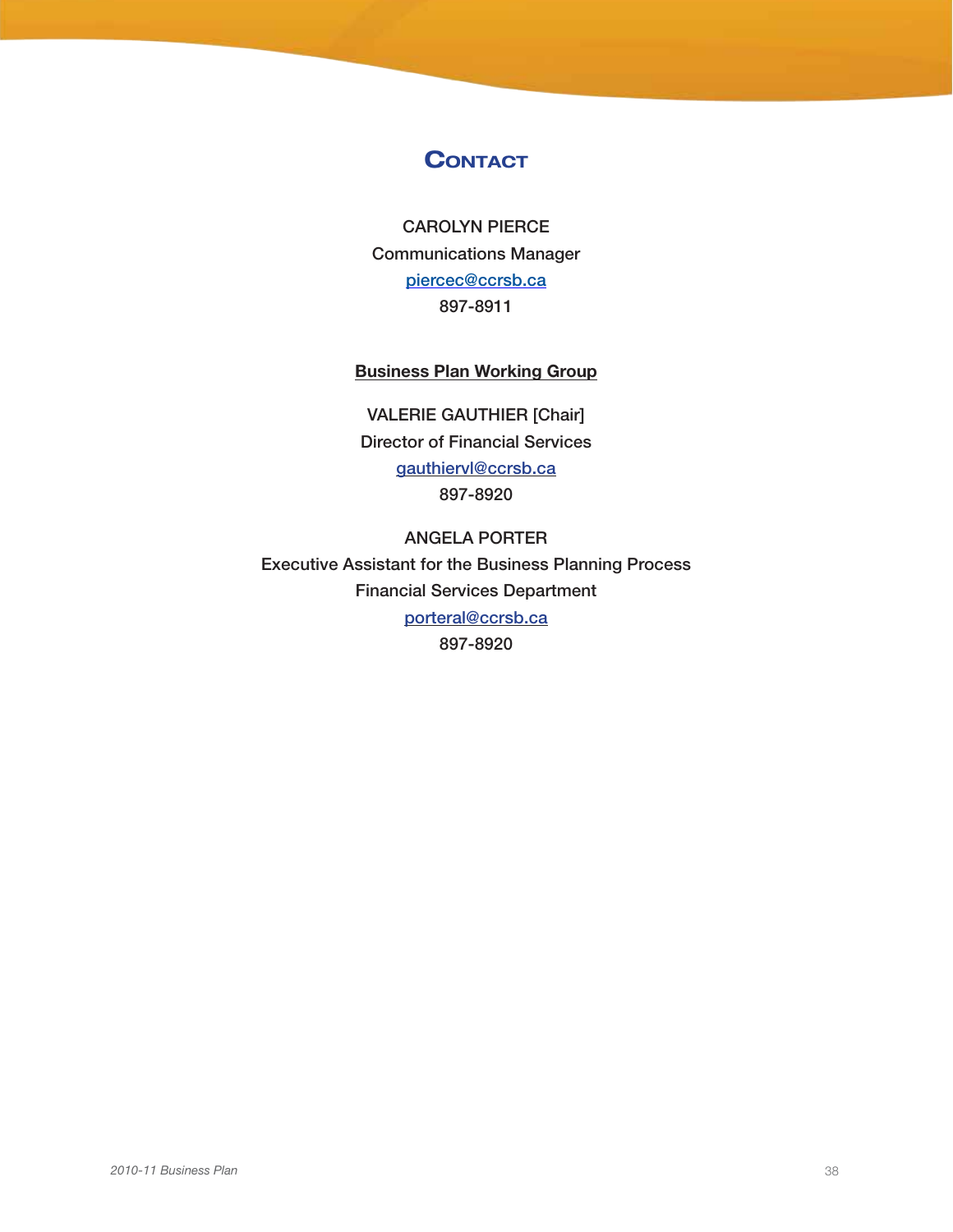### **CONTACT**

Carolyn Pierce Communications Manager piercec@ccrsb.ca 897-8911

### Business Plan Working Group

VALERIE GAUTHIER [Chair] Director of Financial Services gauthiervl@ccrsb.ca 897-8920

ANGELA PORTER Executive Assistant for the Business Planning Process Financial Services Department porteral@ccrsb.ca 897-8920